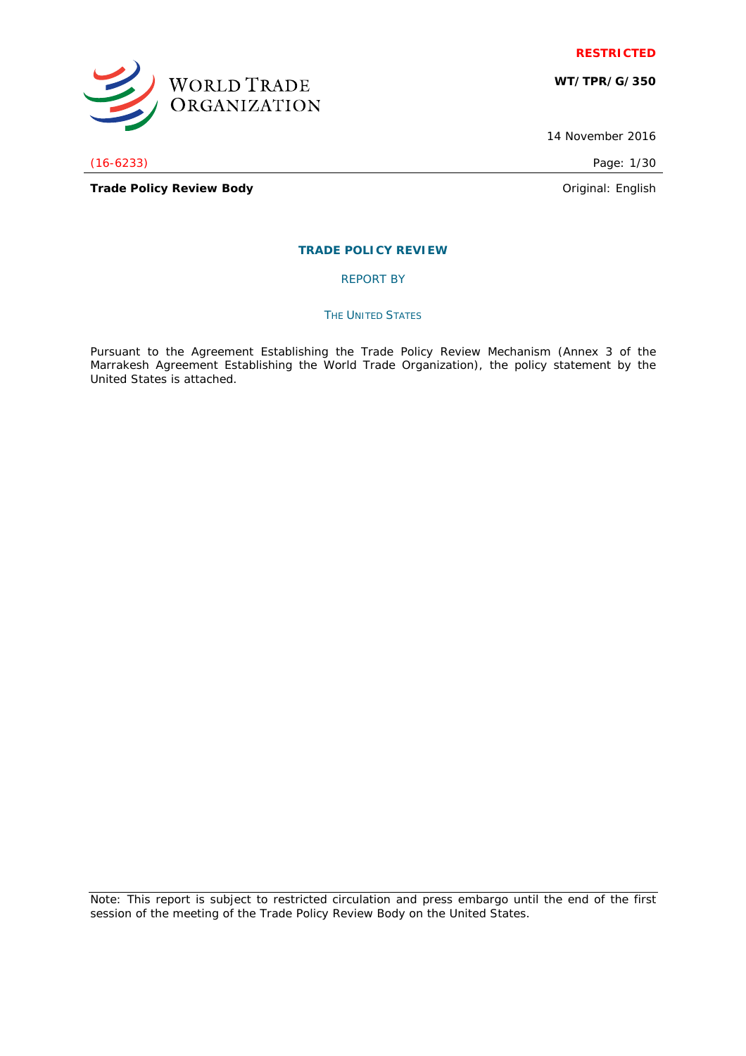

**WT/TPR/G/350**

14 November 2016

(16-6233) Page: 1/30

WORLD TRADE<br>ORGANIZATION

**Trade Policy Review Body Discussed According to According the Contract According Contract According to According the Contract According to According the Original: English** 

## **TRADE POLICY REVIEW**

REPORT BY

#### **THE UNITED STATES**

Pursuant to the Agreement Establishing the Trade Policy Review Mechanism (Annex 3 of the Marrakesh Agreement Establishing the World Trade Organization), the policy statement by the United States is attached.

Note: This report is subject to restricted circulation and press embargo until the end of the first session of the meeting of the Trade Policy Review Body on the United States.

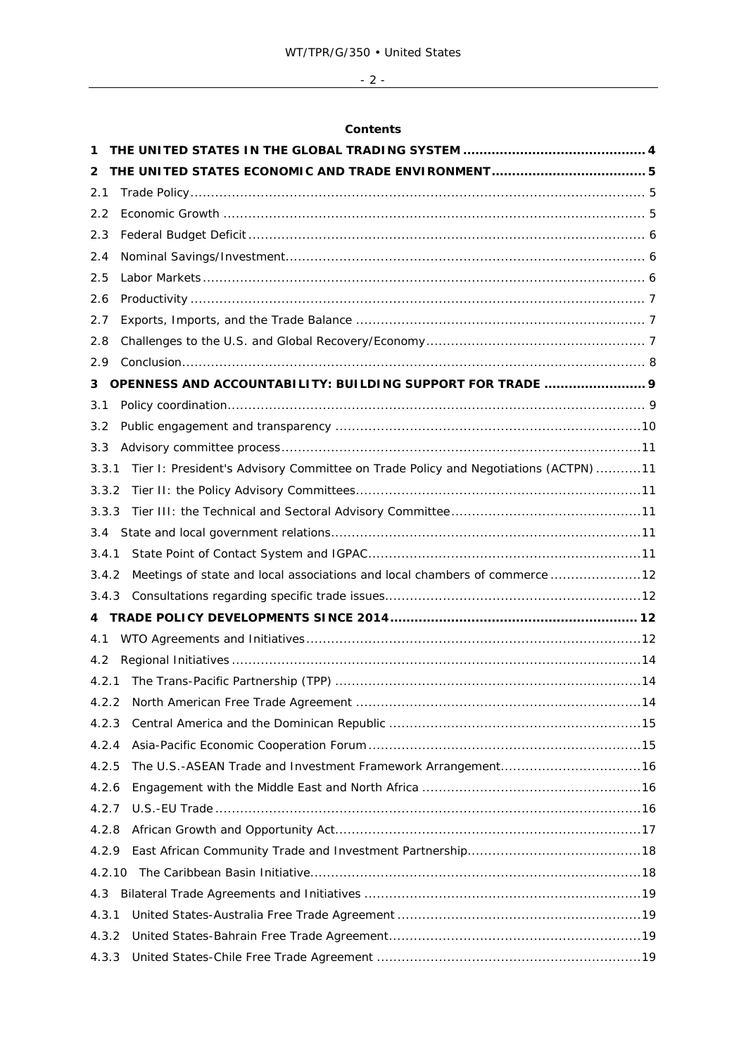# - 2 -

## **Contents**

| 1      |                                                                                    |  |
|--------|------------------------------------------------------------------------------------|--|
| 2      |                                                                                    |  |
| 2.1    |                                                                                    |  |
| 2.2    |                                                                                    |  |
| 2.3    |                                                                                    |  |
| 2.4    |                                                                                    |  |
| 2.5    |                                                                                    |  |
| 2.6    |                                                                                    |  |
| 2.7    |                                                                                    |  |
| 2.8    |                                                                                    |  |
| 2.9    |                                                                                    |  |
| 3      | OPENNESS AND ACCOUNTABILITY: BUILDING SUPPORT FOR TRADE  9                         |  |
| 3.1    |                                                                                    |  |
| 3.2    |                                                                                    |  |
| 3.3    |                                                                                    |  |
| 3.3.1  | Tier I: President's Advisory Committee on Trade Policy and Negotiations (ACTPN) 11 |  |
| 3.3.2  |                                                                                    |  |
| 3.3.3  |                                                                                    |  |
| 3.4    |                                                                                    |  |
| 3.4.1  |                                                                                    |  |
| 3.4.2  | Meetings of state and local associations and local chambers of commerce  12        |  |
| 3.4.3  |                                                                                    |  |
|        |                                                                                    |  |
| 4.1    |                                                                                    |  |
| 4.2    |                                                                                    |  |
| 4.2.1  |                                                                                    |  |
| 4.2.2  | .14                                                                                |  |
| 4.2.3  |                                                                                    |  |
| 4.2.4  |                                                                                    |  |
| 4.2.5  |                                                                                    |  |
| 4.2.6  |                                                                                    |  |
| 4.2.7  |                                                                                    |  |
| 4.2.8  |                                                                                    |  |
| 4.2.9  |                                                                                    |  |
| 4.2.10 |                                                                                    |  |
| 4.3    |                                                                                    |  |
| 4.3.1  |                                                                                    |  |
| 4.3.2  |                                                                                    |  |
| 4.3.3  |                                                                                    |  |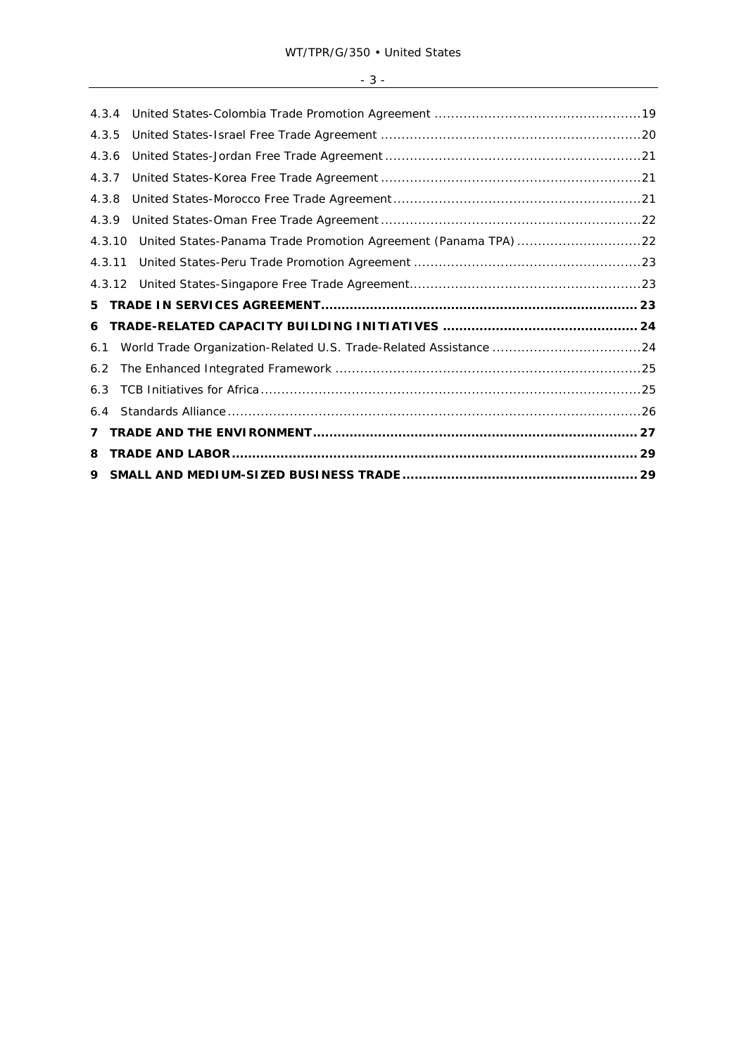| 4.3.4 |        |                                                                |  |
|-------|--------|----------------------------------------------------------------|--|
| 4.3.5 |        |                                                                |  |
| 4.3.6 |        |                                                                |  |
| 4.3.7 |        |                                                                |  |
| 4.3.8 |        |                                                                |  |
| 4.3.9 |        |                                                                |  |
|       | 4.3.10 | United States-Panama Trade Promotion Agreement (Panama TPA) 22 |  |
|       | 4.3.11 |                                                                |  |
|       | 4.3.12 |                                                                |  |
| 5     |        |                                                                |  |
| 6     |        |                                                                |  |
| 6.1   |        |                                                                |  |
| 6.2   |        |                                                                |  |
| 6.3   |        |                                                                |  |
| 6.4   |        |                                                                |  |
| 7     |        |                                                                |  |
| 8     |        |                                                                |  |
| 9     |        |                                                                |  |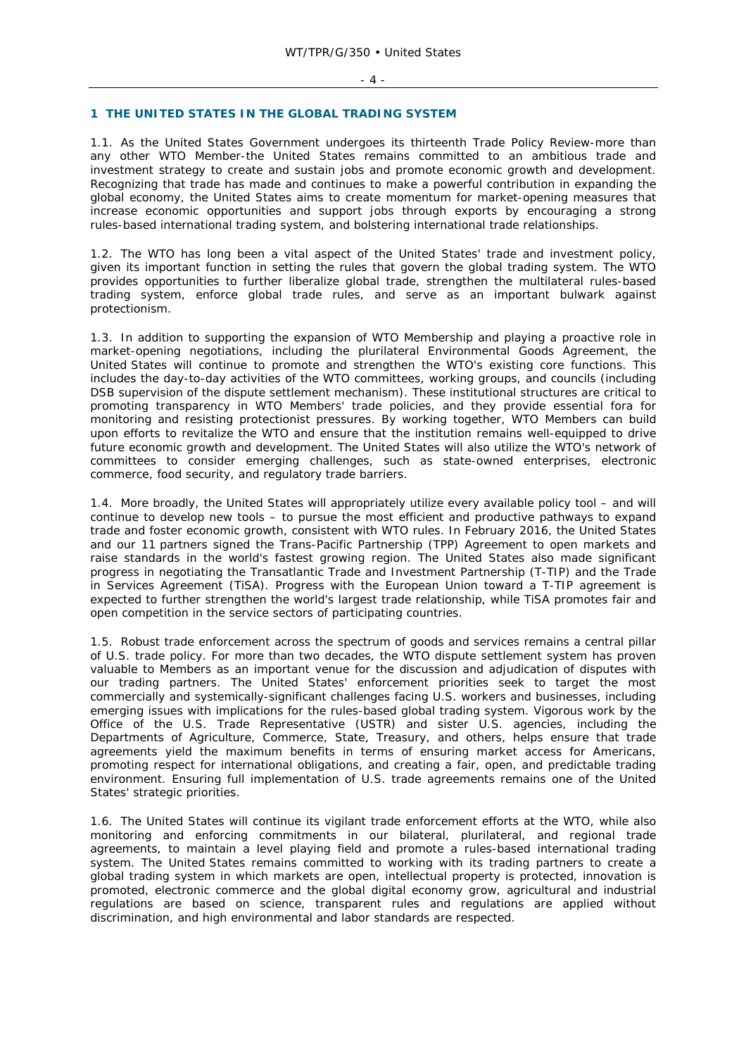#### **1 THE UNITED STATES IN THE GLOBAL TRADING SYSTEM**

1.1. As the United States Government undergoes its thirteenth Trade Policy Review-more than any other WTO Member-the United States remains committed to an ambitious trade and investment strategy to create and sustain jobs and promote economic growth and development. Recognizing that trade has made and continues to make a powerful contribution in expanding the global economy, the United States aims to create momentum for market-opening measures that increase economic opportunities and support jobs through exports by encouraging a strong rules-based international trading system, and bolstering international trade relationships.

1.2. The WTO has long been a vital aspect of the United States' trade and investment policy, given its important function in setting the rules that govern the global trading system. The WTO provides opportunities to further liberalize global trade, strengthen the multilateral rules-based trading system, enforce global trade rules, and serve as an important bulwark against protectionism.

1.3. In addition to supporting the expansion of WTO Membership and playing a proactive role in market-opening negotiations, including the plurilateral Environmental Goods Agreement, the United States will continue to promote and strengthen the WTO's existing core functions. This includes the day-to-day activities of the WTO committees, working groups, and councils (including DSB supervision of the dispute settlement mechanism). These institutional structures are critical to promoting transparency in WTO Members' trade policies, and they provide essential fora for monitoring and resisting protectionist pressures. By working together, WTO Members can build upon efforts to revitalize the WTO and ensure that the institution remains well-equipped to drive future economic growth and development. The United States will also utilize the WTO's network of committees to consider emerging challenges, such as state-owned enterprises, electronic commerce, food security, and regulatory trade barriers.

1.4. More broadly, the United States will appropriately utilize every available policy tool – and will continue to develop new tools – to pursue the most efficient and productive pathways to expand trade and foster economic growth, consistent with WTO rules. In February 2016, the United States and our 11 partners signed the Trans-Pacific Partnership (TPP) Agreement to open markets and raise standards in the world's fastest growing region. The United States also made significant progress in negotiating the Transatlantic Trade and Investment Partnership (T-TIP) and the Trade in Services Agreement (TiSA). Progress with the European Union toward a T-TIP agreement is expected to further strengthen the world's largest trade relationship, while TiSA promotes fair and open competition in the service sectors of participating countries.

1.5. Robust trade enforcement across the spectrum of goods and services remains a central pillar of U.S. trade policy. For more than two decades, the WTO dispute settlement system has proven valuable to Members as an important venue for the discussion and adjudication of disputes with our trading partners. The United States' enforcement priorities seek to target the most commercially and systemically-significant challenges facing U.S. workers and businesses, including emerging issues with implications for the rules-based global trading system. Vigorous work by the Office of the U.S. Trade Representative (USTR) and sister U.S. agencies, including the Departments of Agriculture, Commerce, State, Treasury, and others, helps ensure that trade agreements yield the maximum benefits in terms of ensuring market access for Americans, promoting respect for international obligations, and creating a fair, open, and predictable trading environment. Ensuring full implementation of U.S. trade agreements remains one of the United States' strategic priorities.

1.6. The United States will continue its vigilant trade enforcement efforts at the WTO, while also monitoring and enforcing commitments in our bilateral, plurilateral, and regional trade agreements, to maintain a level playing field and promote a rules-based international trading system. The United States remains committed to working with its trading partners to create a global trading system in which markets are open, intellectual property is protected, innovation is promoted, electronic commerce and the global digital economy grow, agricultural and industrial regulations are based on science, transparent rules and regulations are applied without discrimination, and high environmental and labor standards are respected.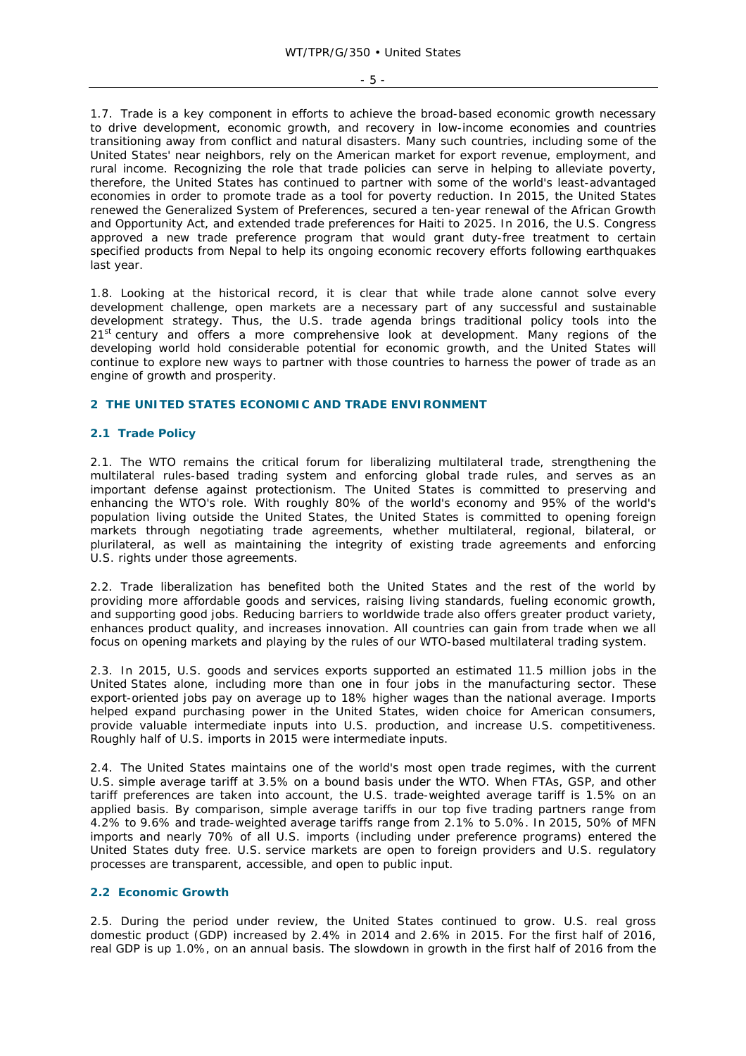1.7. Trade is a key component in efforts to achieve the broad-based economic growth necessary to drive development, economic growth, and recovery in low-income economies and countries transitioning away from conflict and natural disasters. Many such countries, including some of the United States' near neighbors, rely on the American market for export revenue, employment, and rural income. Recognizing the role that trade policies can serve in helping to alleviate poverty, therefore, the United States has continued to partner with some of the world's least-advantaged economies in order to promote trade as a tool for poverty reduction. In 2015, the United States renewed the Generalized System of Preferences, secured a ten-year renewal of the African Growth and Opportunity Act, and extended trade preferences for Haiti to 2025. In 2016, the U.S. Congress approved a new trade preference program that would grant duty-free treatment to certain specified products from Nepal to help its ongoing economic recovery efforts following earthquakes last year.

1.8. Looking at the historical record, it is clear that while trade alone cannot solve every development challenge, open markets are a necessary part of any successful and sustainable development strategy. Thus, the U.S. trade agenda brings traditional policy tools into the 21<sup>st</sup> century and offers a more comprehensive look at development. Many regions of the developing world hold considerable potential for economic growth, and the United States will continue to explore new ways to partner with those countries to harness the power of trade as an engine of growth and prosperity.

#### **2 THE UNITED STATES ECONOMIC AND TRADE ENVIRONMENT**

#### **2.1 Trade Policy**

2.1. The WTO remains the critical forum for liberalizing multilateral trade, strengthening the multilateral rules-based trading system and enforcing global trade rules, and serves as an important defense against protectionism. The United States is committed to preserving and enhancing the WTO's role. With roughly 80% of the world's economy and 95% of the world's population living outside the United States, the United States is committed to opening foreign markets through negotiating trade agreements, whether multilateral, regional, bilateral, or plurilateral, as well as maintaining the integrity of existing trade agreements and enforcing U.S. rights under those agreements.

2.2. Trade liberalization has benefited both the United States and the rest of the world by providing more affordable goods and services, raising living standards, fueling economic growth, and supporting good jobs. Reducing barriers to worldwide trade also offers greater product variety, enhances product quality, and increases innovation. All countries can gain from trade when we all focus on opening markets and playing by the rules of our WTO-based multilateral trading system.

2.3. In 2015, U.S. goods and services exports supported an estimated 11.5 million jobs in the United States alone, including more than one in four jobs in the manufacturing sector. These export-oriented jobs pay on average up to 18% higher wages than the national average. Imports helped expand purchasing power in the United States, widen choice for American consumers, provide valuable intermediate inputs into U.S. production, and increase U.S. competitiveness. Roughly half of U.S. imports in 2015 were intermediate inputs.

2.4. The United States maintains one of the world's most open trade regimes, with the current U.S. simple average tariff at 3.5% on a bound basis under the WTO. When FTAs, GSP, and other tariff preferences are taken into account, the U.S. trade-weighted average tariff is 1.5% on an applied basis. By comparison, simple average tariffs in our top five trading partners range from 4.2% to 9.6% and trade-weighted average tariffs range from 2.1% to 5.0%. In 2015, 50% of MFN imports and nearly 70% of all U.S. imports (including under preference programs) entered the United States duty free. U.S. service markets are open to foreign providers and U.S. regulatory processes are transparent, accessible, and open to public input.

#### **2.2 Economic Growth**

2.5. During the period under review, the United States continued to grow. U.S. real gross domestic product (GDP) increased by 2.4% in 2014 and 2.6% in 2015. For the first half of 2016, real GDP is up 1.0%, on an annual basis. The slowdown in growth in the first half of 2016 from the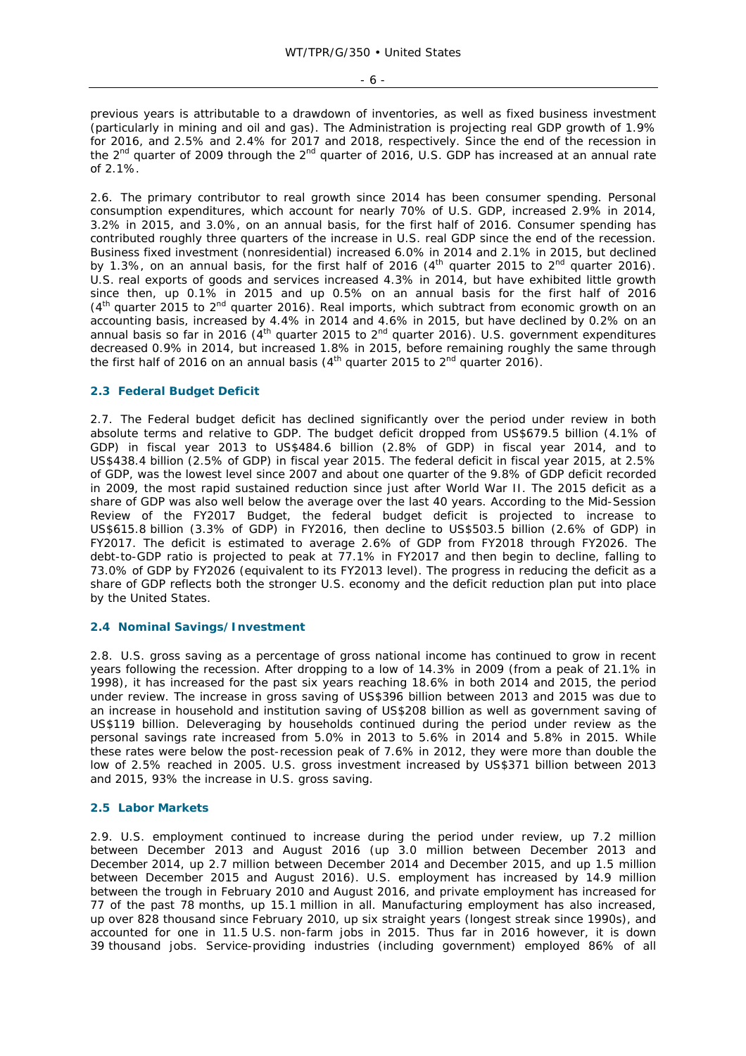- 6 -

previous years is attributable to a drawdown of inventories, as well as fixed business investment (particularly in mining and oil and gas). The Administration is projecting real GDP growth of 1.9% for 2016, and 2.5% and 2.4% for 2017 and 2018, respectively. Since the end of the recession in the 2<sup>nd</sup> quarter of 2009 through the 2<sup>nd</sup> quarter of 2016, U.S. GDP has increased at an annual rate of 2.1%.

2.6. The primary contributor to real growth since 2014 has been consumer spending. Personal consumption expenditures, which account for nearly 70% of U.S. GDP, increased 2.9% in 2014, 3.2% in 2015, and 3.0%, on an annual basis, for the first half of 2016. Consumer spending has contributed roughly three quarters of the increase in U.S. real GDP since the end of the recession. Business fixed investment (nonresidential) increased 6.0% in 2014 and 2.1% in 2015, but declined by 1.3%, on an annual basis, for the first half of 2016  $(4<sup>th</sup>$  quarter 2015 to 2<sup>nd</sup> quarter 2016). U.S. real exports of goods and services increased 4.3% in 2014, but have exhibited little growth since then, up 0.1% in 2015 and up 0.5% on an annual basis for the first half of 2016  $(4<sup>th</sup>$  quarter 2015 to 2<sup>nd</sup> quarter 2016). Real imports, which subtract from economic growth on an accounting basis, increased by 4.4% in 2014 and 4.6% in 2015, but have declined by 0.2% on an annual basis so far in 2016 ( $4^{\text{th}}$  quarter 2015 to  $2^{\text{nd}}$  quarter 2016). U.S. government expenditures decreased 0.9% in 2014, but increased 1.8% in 2015, before remaining roughly the same through the first half of 2016 on an annual basis ( $4<sup>th</sup>$  quarter 2015 to  $2<sup>nd</sup>$  quarter 2016).

#### **2.3 Federal Budget Deficit**

2.7. The Federal budget deficit has declined significantly over the period under review in both absolute terms and relative to GDP. The budget deficit dropped from US\$679.5 billion (4.1% of GDP) in fiscal year 2013 to US\$484.6 billion (2.8% of GDP) in fiscal year 2014, and to US\$438.4 billion (2.5% of GDP) in fiscal year 2015. The federal deficit in fiscal year 2015, at 2.5% of GDP, was the lowest level since 2007 and about one quarter of the 9.8% of GDP deficit recorded in 2009, the most rapid sustained reduction since just after World War II. The 2015 deficit as a share of GDP was also well below the average over the last 40 years. According to the *Mid-Session Review of the FY2017 Budget*, the federal budget deficit is projected to increase to US\$615.8 billion (3.3% of GDP) in FY2016, then decline to US\$503.5 billion (2.6% of GDP) in FY2017. The deficit is estimated to average 2.6% of GDP from FY2018 through FY2026. The debt-to-GDP ratio is projected to peak at 77.1% in FY2017 and then begin to decline, falling to 73.0% of GDP by FY2026 (equivalent to its FY2013 level). The progress in reducing the deficit as a share of GDP reflects both the stronger U.S. economy and the deficit reduction plan put into place by the United States.

## **2.4 Nominal Savings/Investment**

2.8. U.S. gross saving as a percentage of gross national income has continued to grow in recent years following the recession. After dropping to a low of 14.3% in 2009 (from a peak of 21.1% in 1998), it has increased for the past six years reaching 18.6% in both 2014 and 2015, the period under review. The increase in gross saving of US\$396 billion between 2013 and 2015 was due to an increase in household and institution saving of US\$208 billion as well as government saving of US\$119 billion. Deleveraging by households continued during the period under review as the personal savings rate increased from 5.0% in 2013 to 5.6% in 2014 and 5.8% in 2015. While these rates were below the post-recession peak of 7.6% in 2012, they were more than double the low of 2.5% reached in 2005. U.S. gross investment increased by US\$371 billion between 2013 and 2015, 93% the increase in U.S. gross saving.

#### **2.5 Labor Markets**

2.9. U.S. employment continued to increase during the period under review, up 7.2 million between December 2013 and August 2016 (up 3.0 million between December 2013 and December 2014, up 2.7 million between December 2014 and December 2015, and up 1.5 million between December 2015 and August 2016). U.S. employment has increased by 14.9 million between the trough in February 2010 and August 2016, and private employment has increased for 77 of the past 78 months, up 15.1 million in all. Manufacturing employment has also increased, up over 828 thousand since February 2010, up six straight years (longest streak since 1990s), and accounted for one in 11.5 U.S. non-farm jobs in 2015. Thus far in 2016 however, it is down 39 thousand jobs. Service-providing industries (including government) employed 86% of all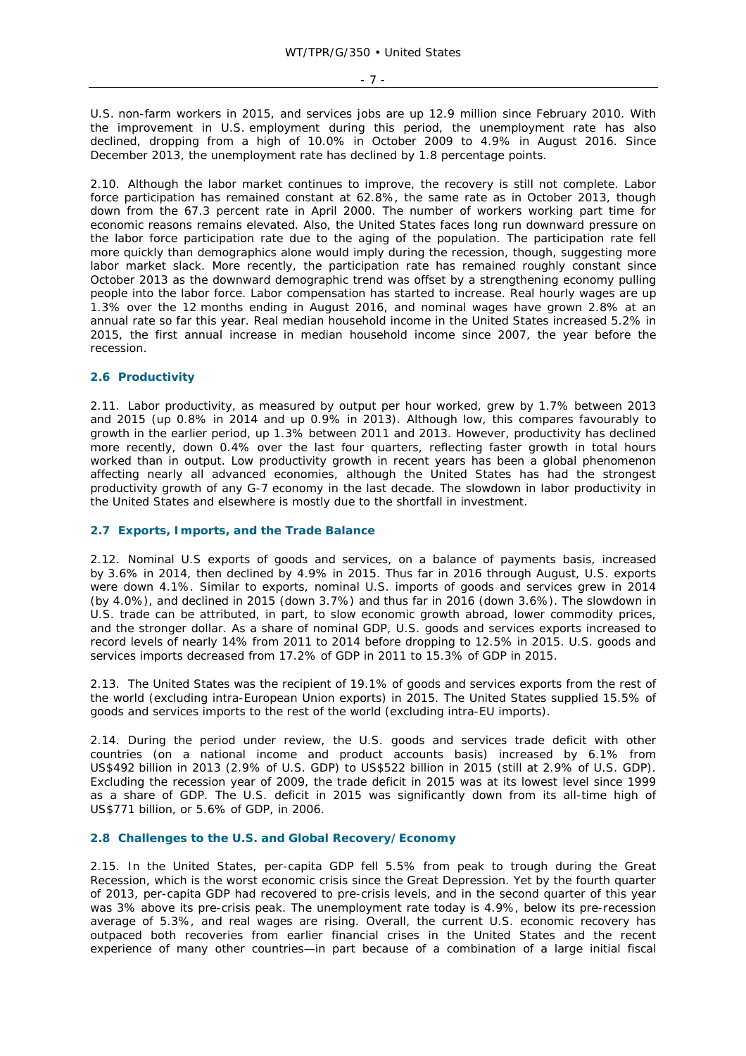- 7 -

U.S. non-farm workers in 2015, and services jobs are up 12.9 million since February 2010. With the improvement in U.S. employment during this period, the unemployment rate has also declined, dropping from a high of 10.0% in October 2009 to 4.9% in August 2016. Since December 2013, the unemployment rate has declined by 1.8 percentage points.

2.10. Although the labor market continues to improve, the recovery is still not complete. Labor force participation has remained constant at 62.8%, the same rate as in October 2013, though down from the 67.3 percent rate in April 2000. The number of workers working part time for economic reasons remains elevated. Also, the United States faces long run downward pressure on the labor force participation rate due to the aging of the population. The participation rate fell more quickly than demographics alone would imply during the recession, though, suggesting more labor market slack. More recently, the participation rate has remained roughly constant since October 2013 as the downward demographic trend was offset by a strengthening economy pulling people into the labor force. Labor compensation has started to increase. Real hourly wages are up 1.3% over the 12 months ending in August 2016, and nominal wages have grown 2.8% at an annual rate so far this year. Real median household income in the United States increased 5.2% in 2015, the first annual increase in median household income since 2007, the year before the recession.

## **2.6 Productivity**

2.11. Labor productivity, as measured by output per hour worked, grew by 1.7% between 2013 and 2015 (up 0.8% in 2014 and up 0.9% in 2013). Although low, this compares favourably to growth in the earlier period, up 1.3% between 2011 and 2013. However, productivity has declined more recently, down 0.4% over the last four quarters, reflecting faster growth in total hours worked than in output. Low productivity growth in recent years has been a global phenomenon affecting nearly all advanced economies, although the United States has had the strongest productivity growth of any G-7 economy in the last decade. The slowdown in labor productivity in the United States and elsewhere is mostly due to the shortfall in investment.

## **2.7 Exports, Imports, and the Trade Balance**

2.12. Nominal U.S exports of goods and services, on a balance of payments basis, increased by 3.6% in 2014, then declined by 4.9% in 2015. Thus far in 2016 through August, U.S. exports were down 4.1%. Similar to exports, nominal U.S. imports of goods and services grew in 2014 (by 4.0%), and declined in 2015 (down 3.7%) and thus far in 2016 (down 3.6%). The slowdown in U.S. trade can be attributed, in part, to slow economic growth abroad, lower commodity prices, and the stronger dollar. As a share of nominal GDP, U.S. goods and services exports increased to record levels of nearly 14% from 2011 to 2014 before dropping to 12.5% in 2015. U.S. goods and services imports decreased from 17.2% of GDP in 2011 to 15.3% of GDP in 2015.

2.13. The United States was the recipient of 19.1% of goods and services exports from the rest of the world (excluding intra-European Union exports) in 2015. The United States supplied 15.5% of goods and services imports to the rest of the world (excluding intra-EU imports).

2.14. During the period under review, the U.S. goods and services trade deficit with other countries (on a national income and product accounts basis) increased by 6.1% from US\$492 billion in 2013 (2.9% of U.S. GDP) to US\$522 billion in 2015 (still at 2.9% of U.S. GDP). Excluding the recession year of 2009, the trade deficit in 2015 was at its lowest level since 1999 as a share of GDP. The U.S. deficit in 2015 was significantly down from its all-time high of US\$771 billion, or 5.6% of GDP, in 2006.

#### **2.8 Challenges to the U.S. and Global Recovery/Economy**

2.15. In the United States, per-capita GDP fell 5.5% from peak to trough during the Great Recession, which is the worst economic crisis since the Great Depression. Yet by the fourth quarter of 2013, per-capita GDP had recovered to pre-crisis levels, and in the second quarter of this year was 3% above its pre-crisis peak. The unemployment rate today is 4.9%, below its pre-recession average of 5.3%, and real wages are rising. Overall, the current U.S. economic recovery has outpaced both recoveries from earlier financial crises in the United States and the recent experience of many other countries—in part because of a combination of a large initial fiscal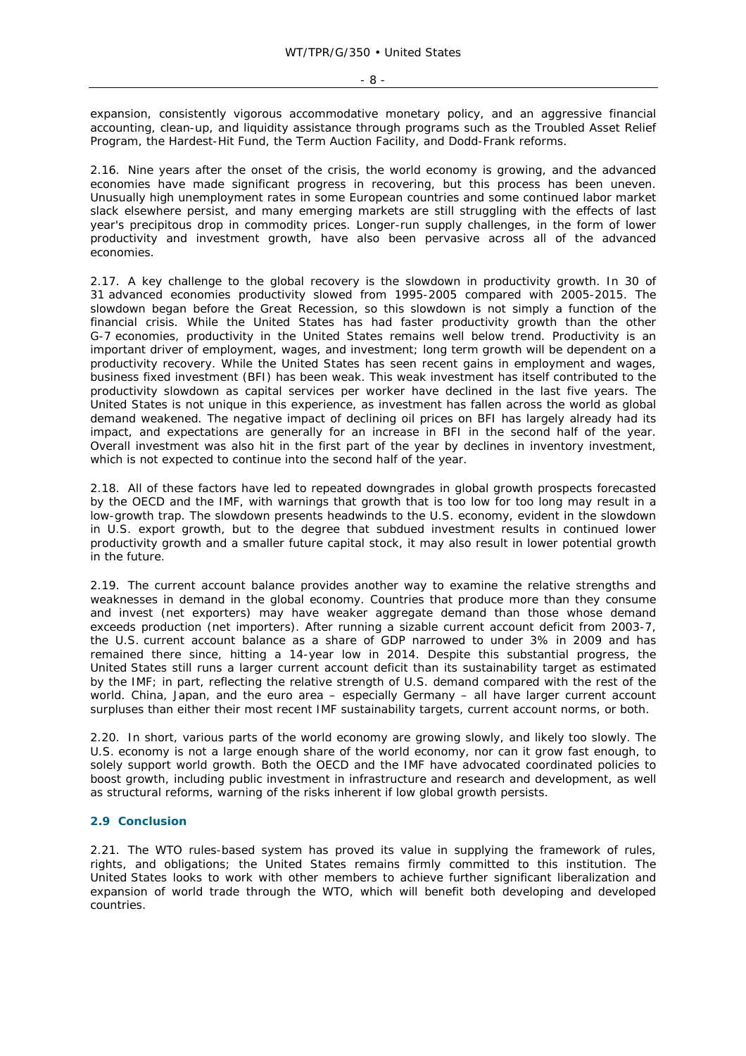$- 8 -$ 

expansion, consistently vigorous accommodative monetary policy, and an aggressive financial accounting, clean-up, and liquidity assistance through programs such as the Troubled Asset Relief Program, the Hardest-Hit Fund, the Term Auction Facility, and Dodd-Frank reforms.

2.16. Nine years after the onset of the crisis, the world economy is growing, and the advanced economies have made significant progress in recovering, but this process has been uneven. Unusually high unemployment rates in some European countries and some continued labor market slack elsewhere persist, and many emerging markets are still struggling with the effects of last year's precipitous drop in commodity prices. Longer-run supply challenges, in the form of lower productivity and investment growth, have also been pervasive across all of the advanced economies.

2.17. A key challenge to the global recovery is the slowdown in productivity growth. In 30 of 31 advanced economies productivity slowed from 1995-2005 compared with 2005-2015. The slowdown began before the Great Recession, so this slowdown is not simply a function of the financial crisis. While the United States has had faster productivity growth than the other G-7 economies, productivity in the United States remains well below trend. Productivity is an important driver of employment, wages, and investment; long term growth will be dependent on a productivity recovery. While the United States has seen recent gains in employment and wages, business fixed investment (BFI) has been weak. This weak investment has itself contributed to the productivity slowdown as capital services per worker have declined in the last five years. The United States is not unique in this experience, as investment has fallen across the world as global demand weakened. The negative impact of declining oil prices on BFI has largely already had its impact, and expectations are generally for an increase in BFI in the second half of the year. Overall investment was also hit in the first part of the year by declines in inventory investment, which is not expected to continue into the second half of the year.

2.18. All of these factors have led to repeated downgrades in global growth prospects forecasted by the OECD and the IMF, with warnings that growth that is too low for too long may result in a low-growth trap. The slowdown presents headwinds to the U.S. economy, evident in the slowdown in U.S. export growth, but to the degree that subdued investment results in continued lower productivity growth and a smaller future capital stock, it may also result in lower potential growth in the future.

2.19. The current account balance provides another way to examine the relative strengths and weaknesses in demand in the global economy. Countries that produce more than they consume and invest (net exporters) may have weaker aggregate demand than those whose demand exceeds production (net importers). After running a sizable current account deficit from 2003-7, the U.S. current account balance as a share of GDP narrowed to under 3% in 2009 and has remained there since, hitting a 14-year low in 2014. Despite this substantial progress, the United States still runs a larger current account deficit than its sustainability target as estimated by the IMF; in part, reflecting the relative strength of U.S. demand compared with the rest of the world. China, Japan, and the euro area – especially Germany – all have larger current account surpluses than either their most recent IMF sustainability targets, current account norms, or both.

2.20. In short, various parts of the world economy are growing slowly, and likely too slowly. The U.S. economy is not a large enough share of the world economy, nor can it grow fast enough, to solely support world growth. Both the OECD and the IMF have advocated coordinated policies to boost growth, including public investment in infrastructure and research and development, as well as structural reforms, warning of the risks inherent if low global growth persists.

## **2.9 Conclusion**

2.21. The WTO rules-based system has proved its value in supplying the framework of rules, rights, and obligations; the United States remains firmly committed to this institution. The United States looks to work with other members to achieve further significant liberalization and expansion of world trade through the WTO, which will benefit both developing and developed countries.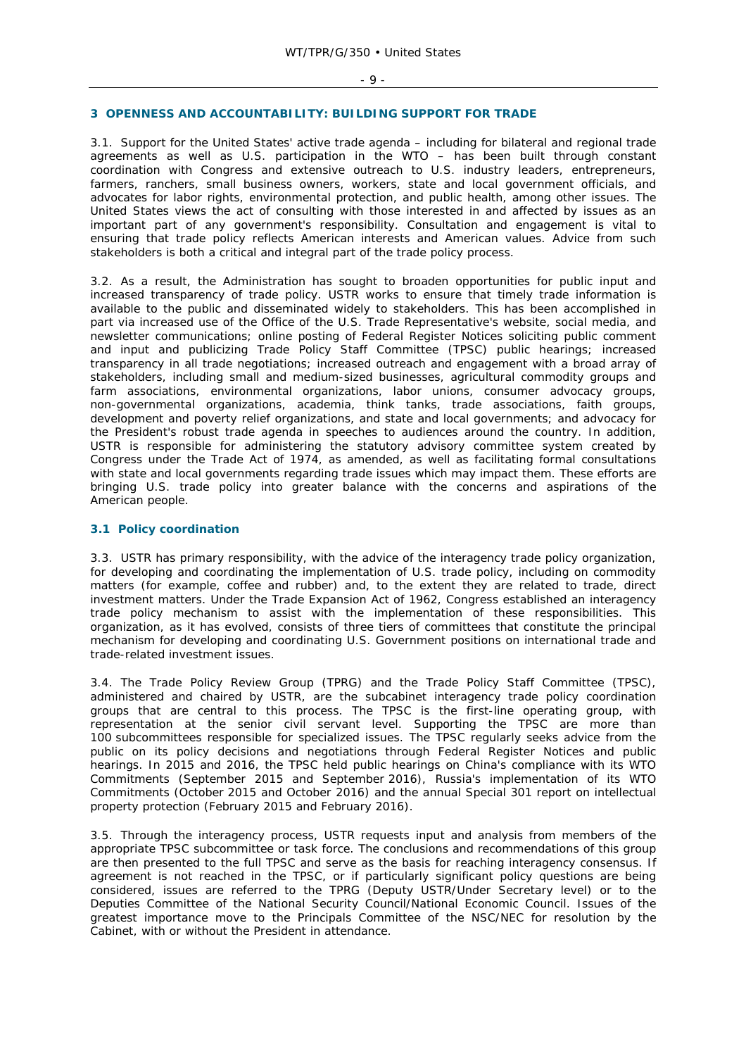#### **3 OPENNESS AND ACCOUNTABILITY: BUILDING SUPPORT FOR TRADE**

3.1. Support for the United States' active trade agenda – including for bilateral and regional trade agreements as well as U.S. participation in the WTO – has been built through constant coordination with Congress and extensive outreach to U.S. industry leaders, entrepreneurs, farmers, ranchers, small business owners, workers, state and local government officials, and advocates for labor rights, environmental protection, and public health, among other issues. The United States views the act of consulting with those interested in and affected by issues as an important part of any government's responsibility. Consultation and engagement is vital to ensuring that trade policy reflects American interests and American values. Advice from such stakeholders is both a critical and integral part of the trade policy process.

3.2. As a result, the Administration has sought to broaden opportunities for public input and increased transparency of trade policy. USTR works to ensure that timely trade information is available to the public and disseminated widely to stakeholders. This has been accomplished in part via increased use of the Office of the U.S. Trade Representative's website, social media, and newsletter communications; online posting of *Federal Register* Notices soliciting public comment and input and publicizing Trade Policy Staff Committee (TPSC) public hearings; increased transparency in all trade negotiations; increased outreach and engagement with a broad array of stakeholders, including small and medium-sized businesses, agricultural commodity groups and farm associations, environmental organizations, labor unions, consumer advocacy groups, non-governmental organizations, academia, think tanks, trade associations, faith groups, development and poverty relief organizations, and state and local governments; and advocacy for the President's robust trade agenda in speeches to audiences around the country. In addition, USTR is responsible for administering the statutory advisory committee system created by Congress under the Trade Act of 1974, as amended, as well as facilitating formal consultations with state and local governments regarding trade issues which may impact them. These efforts are bringing U.S. trade policy into greater balance with the concerns and aspirations of the American people.

#### **3.1 Policy coordination**

3.3. USTR has primary responsibility, with the advice of the interagency trade policy organization, for developing and coordinating the implementation of U.S. trade policy, including on commodity matters (for example, coffee and rubber) and, to the extent they are related to trade, direct investment matters. Under the Trade Expansion Act of 1962, Congress established an interagency trade policy mechanism to assist with the implementation of these responsibilities. This organization, as it has evolved, consists of three tiers of committees that constitute the principal mechanism for developing and coordinating U.S. Government positions on international trade and trade-related investment issues.

3.4. The Trade Policy Review Group (TPRG) and the Trade Policy Staff Committee (TPSC), administered and chaired by USTR, are the subcabinet interagency trade policy coordination groups that are central to this process. The TPSC is the first-line operating group, with representation at the senior civil servant level. Supporting the TPSC are more than 100 subcommittees responsible for specialized issues. The TPSC regularly seeks advice from the public on its policy decisions and negotiations through *Federal Register* Notices and public hearings. In 2015 and 2016, the TPSC held public hearings on China's compliance with its WTO Commitments (September 2015 and September 2016), Russia's implementation of its WTO Commitments (October 2015 and October 2016) and the annual Special 301 report on intellectual property protection (February 2015 and February 2016).

3.5. Through the interagency process, USTR requests input and analysis from members of the appropriate TPSC subcommittee or task force. The conclusions and recommendations of this group are then presented to the full TPSC and serve as the basis for reaching interagency consensus. If agreement is not reached in the TPSC, or if particularly significant policy questions are being considered, issues are referred to the TPRG (Deputy USTR/Under Secretary level) or to the Deputies Committee of the National Security Council/National Economic Council. Issues of the greatest importance move to the Principals Committee of the NSC/NEC for resolution by the Cabinet, with or without the President in attendance.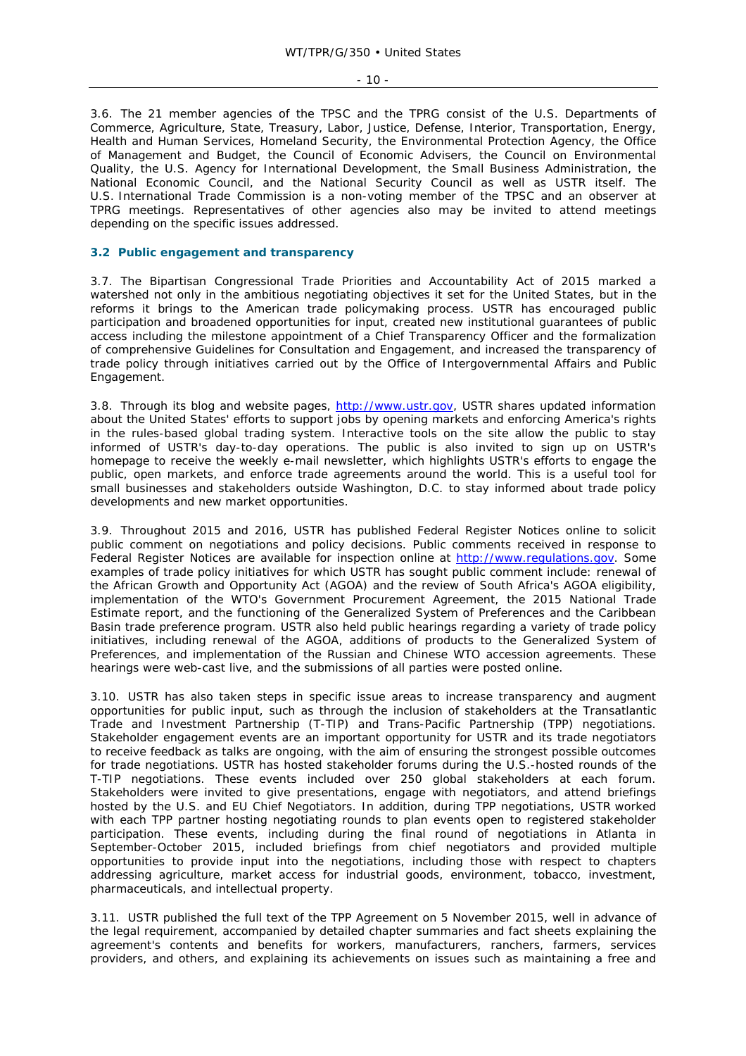- 10 -

3.6. The 21 member agencies of the TPSC and the TPRG consist of the U.S. Departments of Commerce, Agriculture, State, Treasury, Labor, Justice, Defense, Interior, Transportation, Energy, Health and Human Services, Homeland Security, the Environmental Protection Agency, the Office of Management and Budget, the Council of Economic Advisers, the Council on Environmental Quality, the U.S. Agency for International Development, the Small Business Administration, the National Economic Council, and the National Security Council as well as USTR itself. The U.S. International Trade Commission is a non-voting member of the TPSC and an observer at TPRG meetings. Representatives of other agencies also may be invited to attend meetings depending on the specific issues addressed.

## **3.2 Public engagement and transparency**

3.7. The Bipartisan Congressional Trade Priorities and Accountability Act of 2015 marked a watershed not only in the ambitious negotiating objectives it set for the United States, but in the reforms it brings to the American trade policymaking process. USTR has encouraged public participation and broadened opportunities for input, created new institutional guarantees of public access including the milestone appointment of a Chief Transparency Officer and the formalization of comprehensive Guidelines for Consultation and Engagement, and increased the transparency of trade policy through initiatives carried out by the Office of Intergovernmental Affairs and Public Engagement.

3.8. Through its blog and website pages, http://www.ustr.gov, USTR shares updated information about the United States' efforts to support jobs by opening markets and enforcing America's rights in the rules-based global trading system. Interactive tools on the site allow the public to stay informed of USTR's day-to-day operations. The public is also invited to sign up on USTR's homepage to receive the weekly e-mail newsletter, which highlights USTR's efforts to engage the public, open markets, and enforce trade agreements around the world. This is a useful tool for small businesses and stakeholders outside Washington, D.C. to stay informed about trade policy developments and new market opportunities.

3.9. Throughout 2015 and 2016, USTR has published Federal Register Notices online to solicit public comment on negotiations and policy decisions. Public comments received in response to Federal Register Notices are available for inspection online at http://www.regulations.gov. Some examples of trade policy initiatives for which USTR has sought public comment include: renewal of the African Growth and Opportunity Act (AGOA) and the review of South Africa's AGOA eligibility, implementation of the WTO's Government Procurement Agreement, the 2015 National Trade Estimate report, and the functioning of the Generalized System of Preferences and the Caribbean Basin trade preference program. USTR also held public hearings regarding a variety of trade policy initiatives, including renewal of the AGOA, additions of products to the Generalized System of Preferences, and implementation of the Russian and Chinese WTO accession agreements. These hearings were web-cast live, and the submissions of all parties were posted online.

3.10. USTR has also taken steps in specific issue areas to increase transparency and augment opportunities for public input, such as through the inclusion of stakeholders at the Transatlantic Trade and Investment Partnership (T-TIP) and Trans-Pacific Partnership (TPP) negotiations. Stakeholder engagement events are an important opportunity for USTR and its trade negotiators to receive feedback as talks are ongoing, with the aim of ensuring the strongest possible outcomes for trade negotiations. USTR has hosted stakeholder forums during the U.S.-hosted rounds of the T-TIP negotiations. These events included over 250 global stakeholders at each forum. Stakeholders were invited to give presentations, engage with negotiators, and attend briefings hosted by the U.S. and EU Chief Negotiators. In addition, during TPP negotiations, USTR worked with each TPP partner hosting negotiating rounds to plan events open to registered stakeholder participation. These events, including during the final round of negotiations in Atlanta in September-October 2015, included briefings from chief negotiators and provided multiple opportunities to provide input into the negotiations, including those with respect to chapters addressing agriculture, market access for industrial goods, environment, tobacco, investment, pharmaceuticals, and intellectual property.

3.11. USTR published the full text of the TPP Agreement on 5 November 2015, well in advance of the legal requirement, accompanied by detailed chapter summaries and fact sheets explaining the agreement's contents and benefits for workers, manufacturers, ranchers, farmers, services providers, and others, and explaining its achievements on issues such as maintaining a free and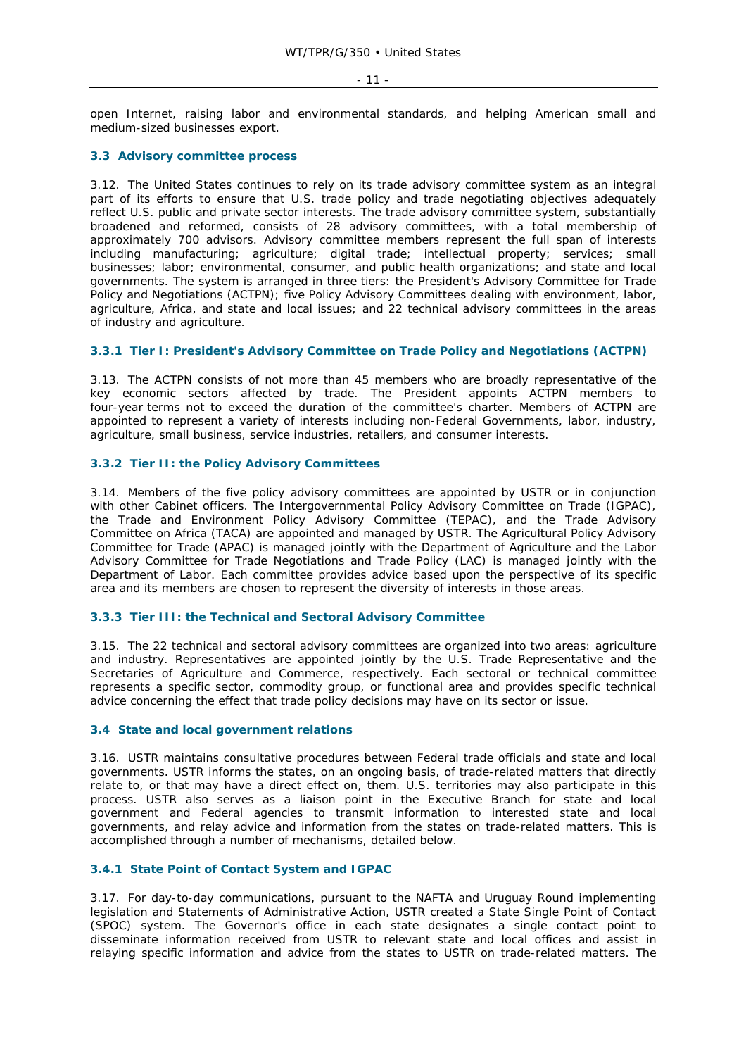open Internet, raising labor and environmental standards, and helping American small and medium-sized businesses export.

### **3.3 Advisory committee process**

3.12. The United States continues to rely on its trade advisory committee system as an integral part of its efforts to ensure that U.S. trade policy and trade negotiating objectives adequately reflect U.S. public and private sector interests. The trade advisory committee system, substantially broadened and reformed, consists of 28 advisory committees, with a total membership of approximately 700 advisors. Advisory committee members represent the full span of interests including manufacturing; agriculture; digital trade; intellectual property; services; small businesses; labor; environmental, consumer, and public health organizations; and state and local governments. The system is arranged in three tiers: the President's Advisory Committee for Trade Policy and Negotiations (ACTPN); five Policy Advisory Committees dealing with environment, labor, agriculture, Africa, and state and local issues; and 22 technical advisory committees in the areas of industry and agriculture.

### **3.3.1 Tier I: President's Advisory Committee on Trade Policy and Negotiations (ACTPN)**

3.13. The ACTPN consists of not more than 45 members who are broadly representative of the key economic sectors affected by trade. The President appoints ACTPN members to four-year terms not to exceed the duration of the committee's charter. Members of ACTPN are appointed to represent a variety of interests including non-Federal Governments, labor, industry, agriculture, small business, service industries, retailers, and consumer interests.

## **3.3.2 Tier II: the Policy Advisory Committees**

3.14. Members of the five policy advisory committees are appointed by USTR or in conjunction with other Cabinet officers. The Intergovernmental Policy Advisory Committee on Trade (IGPAC), the Trade and Environment Policy Advisory Committee (TEPAC), and the Trade Advisory Committee on Africa (TACA) are appointed and managed by USTR. The Agricultural Policy Advisory Committee for Trade (APAC) is managed jointly with the Department of Agriculture and the Labor Advisory Committee for Trade Negotiations and Trade Policy (LAC) is managed jointly with the Department of Labor. Each committee provides advice based upon the perspective of its specific area and its members are chosen to represent the diversity of interests in those areas.

## **3.3.3 Tier III: the Technical and Sectoral Advisory Committee**

3.15. The 22 technical and sectoral advisory committees are organized into two areas: agriculture and industry. Representatives are appointed jointly by the U.S. Trade Representative and the Secretaries of Agriculture and Commerce, respectively. Each sectoral or technical committee represents a specific sector, commodity group, or functional area and provides specific technical advice concerning the effect that trade policy decisions may have on its sector or issue.

#### **3.4 State and local government relations**

3.16. USTR maintains consultative procedures between Federal trade officials and state and local governments. USTR informs the states, on an ongoing basis, of trade-related matters that directly relate to, or that may have a direct effect on, them. U.S. territories may also participate in this process. USTR also serves as a liaison point in the Executive Branch for state and local government and Federal agencies to transmit information to interested state and local governments, and relay advice and information from the states on trade-related matters. This is accomplished through a number of mechanisms, detailed below.

## **3.4.1 State Point of Contact System and IGPAC**

3.17. For day-to-day communications, pursuant to the NAFTA and Uruguay Round implementing legislation and Statements of Administrative Action, USTR created a State Single Point of Contact (SPOC) system. The Governor's office in each state designates a single contact point to disseminate information received from USTR to relevant state and local offices and assist in relaying specific information and advice from the states to USTR on trade-related matters. The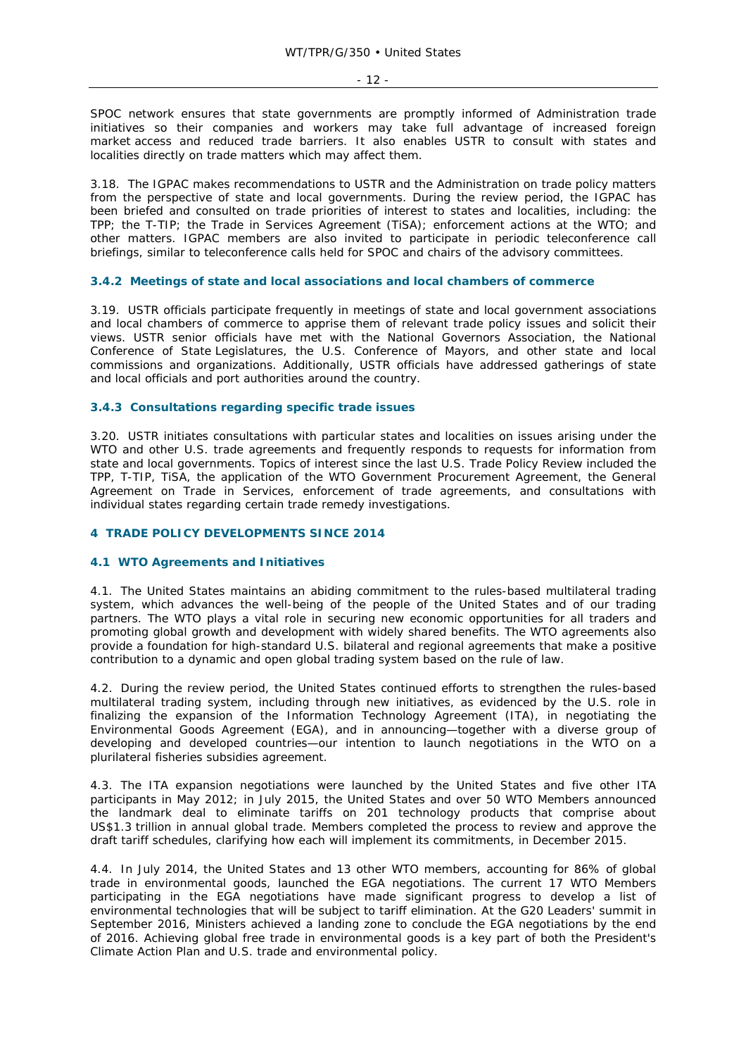SPOC network ensures that state governments are promptly informed of Administration trade initiatives so their companies and workers may take full advantage of increased foreign market access and reduced trade barriers. It also enables USTR to consult with states and localities directly on trade matters which may affect them.

3.18. The IGPAC makes recommendations to USTR and the Administration on trade policy matters from the perspective of state and local governments. During the review period, the IGPAC has been briefed and consulted on trade priorities of interest to states and localities, including: the TPP; the T-TIP; the Trade in Services Agreement (TiSA); enforcement actions at the WTO; and other matters. IGPAC members are also invited to participate in periodic teleconference call briefings, similar to teleconference calls held for SPOC and chairs of the advisory committees.

#### **3.4.2 Meetings of state and local associations and local chambers of commerce**

3.19. USTR officials participate frequently in meetings of state and local government associations and local chambers of commerce to apprise them of relevant trade policy issues and solicit their views. USTR senior officials have met with the National Governors Association, the National Conference of State Legislatures, the U.S. Conference of Mayors, and other state and local commissions and organizations. Additionally, USTR officials have addressed gatherings of state and local officials and port authorities around the country.

### **3.4.3 Consultations regarding specific trade issues**

3.20. USTR initiates consultations with particular states and localities on issues arising under the WTO and other U.S. trade agreements and frequently responds to requests for information from state and local governments. Topics of interest since the last U.S. Trade Policy Review included the TPP, T-TIP, TiSA, the application of the WTO Government Procurement Agreement, the General Agreement on Trade in Services, enforcement of trade agreements, and consultations with individual states regarding certain trade remedy investigations.

#### **4 TRADE POLICY DEVELOPMENTS SINCE 2014**

#### **4.1 WTO Agreements and Initiatives**

4.1. The United States maintains an abiding commitment to the rules-based multilateral trading system, which advances the well-being of the people of the United States and of our trading partners. The WTO plays a vital role in securing new economic opportunities for all traders and promoting global growth and development with widely shared benefits. The WTO agreements also provide a foundation for high-standard U.S. bilateral and regional agreements that make a positive contribution to a dynamic and open global trading system based on the rule of law.

4.2. During the review period, the United States continued efforts to strengthen the rules-based multilateral trading system, including through new initiatives, as evidenced by the U.S. role in finalizing the expansion of the Information Technology Agreement (ITA), in negotiating the Environmental Goods Agreement (EGA), and in announcing—together with a diverse group of developing and developed countries—our intention to launch negotiations in the WTO on a plurilateral fisheries subsidies agreement.

4.3. The ITA expansion negotiations were launched by the United States and five other ITA participants in May 2012; in July 2015, the United States and over 50 WTO Members announced the landmark deal to eliminate tariffs on 201 technology products that comprise about US\$1.3 trillion in annual global trade. Members completed the process to review and approve the draft tariff schedules, clarifying how each will implement its commitments, in December 2015.

4.4. In July 2014, the United States and 13 other WTO members, accounting for 86% of global trade in environmental goods, launched the EGA negotiations. The current 17 WTO Members participating in the EGA negotiations have made significant progress to develop a list of environmental technologies that will be subject to tariff elimination. At the G20 Leaders' summit in September 2016, Ministers achieved a landing zone to conclude the EGA negotiations by the end of 2016. Achieving global free trade in environmental goods is a key part of both the President's Climate Action Plan and U.S. trade and environmental policy.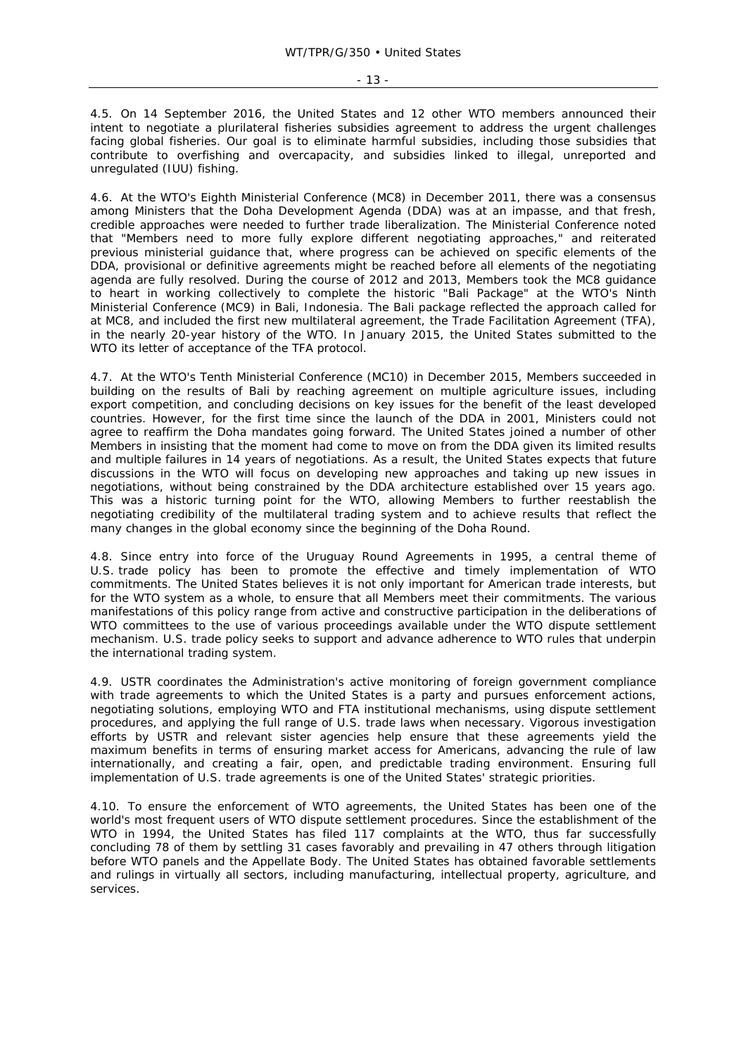4.5. On 14 September 2016, the United States and 12 other WTO members announced their intent to negotiate a plurilateral fisheries subsidies agreement to address the urgent challenges facing global fisheries. Our goal is to eliminate harmful subsidies, including those subsidies that contribute to overfishing and overcapacity, and subsidies linked to illegal, unreported and unregulated (IUU) fishing.

4.6. At the WTO's Eighth Ministerial Conference (MC8) in December 2011, there was a consensus among Ministers that the Doha Development Agenda (DDA) was at an impasse, and that fresh, credible approaches were needed to further trade liberalization. The Ministerial Conference noted that "Members need to more fully explore different negotiating approaches," and reiterated previous ministerial guidance that, where progress can be achieved on specific elements of the DDA, provisional or definitive agreements might be reached before all elements of the negotiating agenda are fully resolved. During the course of 2012 and 2013, Members took the MC8 guidance to heart in working collectively to complete the historic "Bali Package" at the WTO's Ninth Ministerial Conference (MC9) in Bali, Indonesia. The Bali package reflected the approach called for at MC8, and included the first new multilateral agreement, the Trade Facilitation Agreement (TFA), in the nearly 20-year history of the WTO. In January 2015, the United States submitted to the WTO its letter of acceptance of the TFA protocol.

4.7. At the WTO's Tenth Ministerial Conference (MC10) in December 2015, Members succeeded in building on the results of Bali by reaching agreement on multiple agriculture issues, including export competition, and concluding decisions on key issues for the benefit of the least developed countries. However, for the first time since the launch of the DDA in 2001, Ministers could not agree to reaffirm the Doha mandates going forward. The United States joined a number of other Members in insisting that the moment had come to move on from the DDA given its limited results and multiple failures in 14 years of negotiations. As a result, the United States expects that future discussions in the WTO will focus on developing new approaches and taking up new issues in negotiations, without being constrained by the DDA architecture established over 15 years ago. This was a historic turning point for the WTO, allowing Members to further reestablish the negotiating credibility of the multilateral trading system and to achieve results that reflect the many changes in the global economy since the beginning of the Doha Round.

4.8. Since entry into force of the Uruguay Round Agreements in 1995, a central theme of U.S. trade policy has been to promote the effective and timely implementation of WTO commitments. The United States believes it is not only important for American trade interests, but for the WTO system as a whole, to ensure that all Members meet their commitments. The various manifestations of this policy range from active and constructive participation in the deliberations of WTO committees to the use of various proceedings available under the WTO dispute settlement mechanism. U.S. trade policy seeks to support and advance adherence to WTO rules that underpin the international trading system.

4.9. USTR coordinates the Administration's active monitoring of foreign government compliance with trade agreements to which the United States is a party and pursues enforcement actions, negotiating solutions, employing WTO and FTA institutional mechanisms, using dispute settlement procedures, and applying the full range of U.S. trade laws when necessary. Vigorous investigation efforts by USTR and relevant sister agencies help ensure that these agreements yield the maximum benefits in terms of ensuring market access for Americans, advancing the rule of law internationally, and creating a fair, open, and predictable trading environment. Ensuring full implementation of U.S. trade agreements is one of the United States' strategic priorities.

4.10. To ensure the enforcement of WTO agreements, the United States has been one of the world's most frequent users of WTO dispute settlement procedures. Since the establishment of the WTO in 1994, the United States has filed 117 complaints at the WTO, thus far successfully concluding 78 of them by settling 31 cases favorably and prevailing in 47 others through litigation before WTO panels and the Appellate Body. The United States has obtained favorable settlements and rulings in virtually all sectors, including manufacturing, intellectual property, agriculture, and services.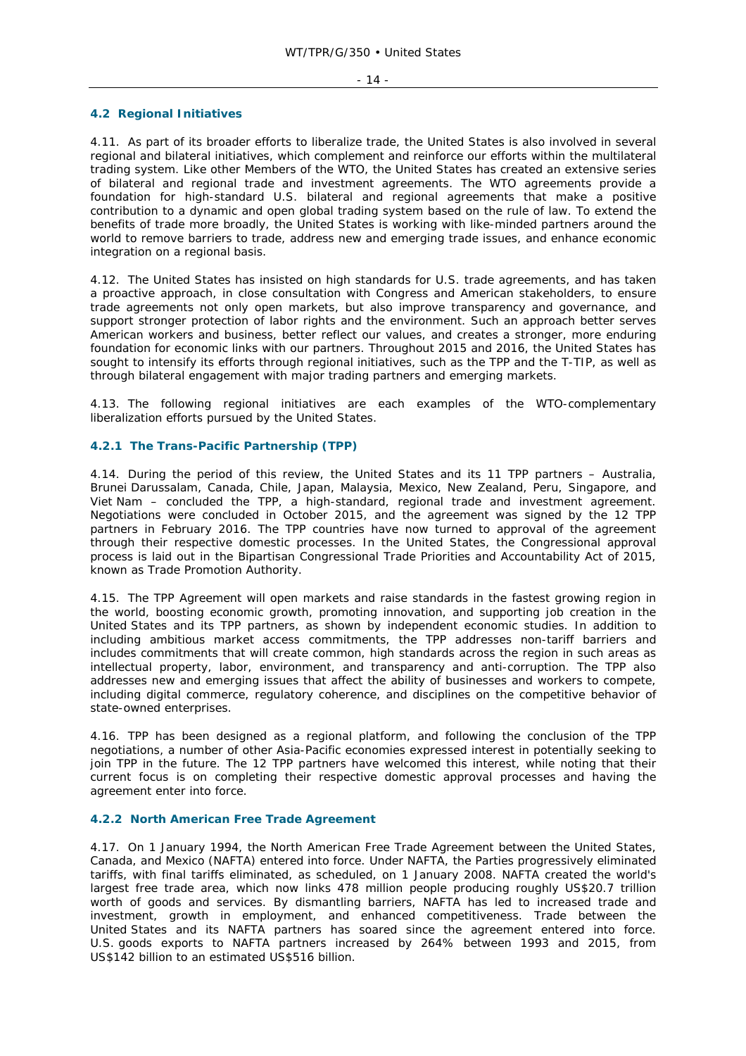#### - 14 -

#### **4.2 Regional Initiatives**

4.11. As part of its broader efforts to liberalize trade, the United States is also involved in several regional and bilateral initiatives, which complement and reinforce our efforts within the multilateral trading system. Like other Members of the WTO, the United States has created an extensive series of bilateral and regional trade and investment agreements. The WTO agreements provide a foundation for high-standard U.S. bilateral and regional agreements that make a positive contribution to a dynamic and open global trading system based on the rule of law. To extend the benefits of trade more broadly, the United States is working with like-minded partners around the world to remove barriers to trade, address new and emerging trade issues, and enhance economic integration on a regional basis.

4.12. The United States has insisted on high standards for U.S. trade agreements, and has taken a proactive approach, in close consultation with Congress and American stakeholders, to ensure trade agreements not only open markets, but also improve transparency and governance, and support stronger protection of labor rights and the environment. Such an approach better serves American workers and business, better reflect our values, and creates a stronger, more enduring foundation for economic links with our partners. Throughout 2015 and 2016, the United States has sought to intensify its efforts through regional initiatives, such as the TPP and the T-TIP, as well as through bilateral engagement with major trading partners and emerging markets.

4.13. The following regional initiatives are each examples of the WTO-complementary liberalization efforts pursued by the United States.

## **4.2.1 The Trans-Pacific Partnership (TPP)**

4.14. During the period of this review, the United States and its 11 TPP partners – Australia, Brunei Darussalam, Canada, Chile, Japan, Malaysia, Mexico, New Zealand, Peru, Singapore, and Viet Nam – concluded the TPP, a high-standard, regional trade and investment agreement. Negotiations were concluded in October 2015, and the agreement was signed by the 12 TPP partners in February 2016. The TPP countries have now turned to approval of the agreement through their respective domestic processes. In the United States, the Congressional approval process is laid out in the Bipartisan Congressional Trade Priorities and Accountability Act of 2015, known as Trade Promotion Authority.

4.15. The TPP Agreement will open markets and raise standards in the fastest growing region in the world, boosting economic growth, promoting innovation, and supporting job creation in the United States and its TPP partners, as shown by independent economic studies. In addition to including ambitious market access commitments, the TPP addresses non-tariff barriers and includes commitments that will create common, high standards across the region in such areas as intellectual property, labor, environment, and transparency and anti-corruption. The TPP also addresses new and emerging issues that affect the ability of businesses and workers to compete, including digital commerce, regulatory coherence, and disciplines on the competitive behavior of state-owned enterprises.

4.16. TPP has been designed as a regional platform, and following the conclusion of the TPP negotiations, a number of other Asia-Pacific economies expressed interest in potentially seeking to join TPP in the future. The 12 TPP partners have welcomed this interest, while noting that their current focus is on completing their respective domestic approval processes and having the agreement enter into force.

#### **4.2.2 North American Free Trade Agreement**

4.17. On 1 January 1994, the North American Free Trade Agreement between the United States, Canada, and Mexico (NAFTA) entered into force. Under NAFTA, the Parties progressively eliminated tariffs, with final tariffs eliminated, as scheduled, on 1 January 2008. NAFTA created the world's largest free trade area, which now links 478 million people producing roughly US\$20.7 trillion worth of goods and services. By dismantling barriers, NAFTA has led to increased trade and investment, growth in employment, and enhanced competitiveness. Trade between the United States and its NAFTA partners has soared since the agreement entered into force. U.S. goods exports to NAFTA partners increased by 264% between 1993 and 2015, from US\$142 billion to an estimated US\$516 billion.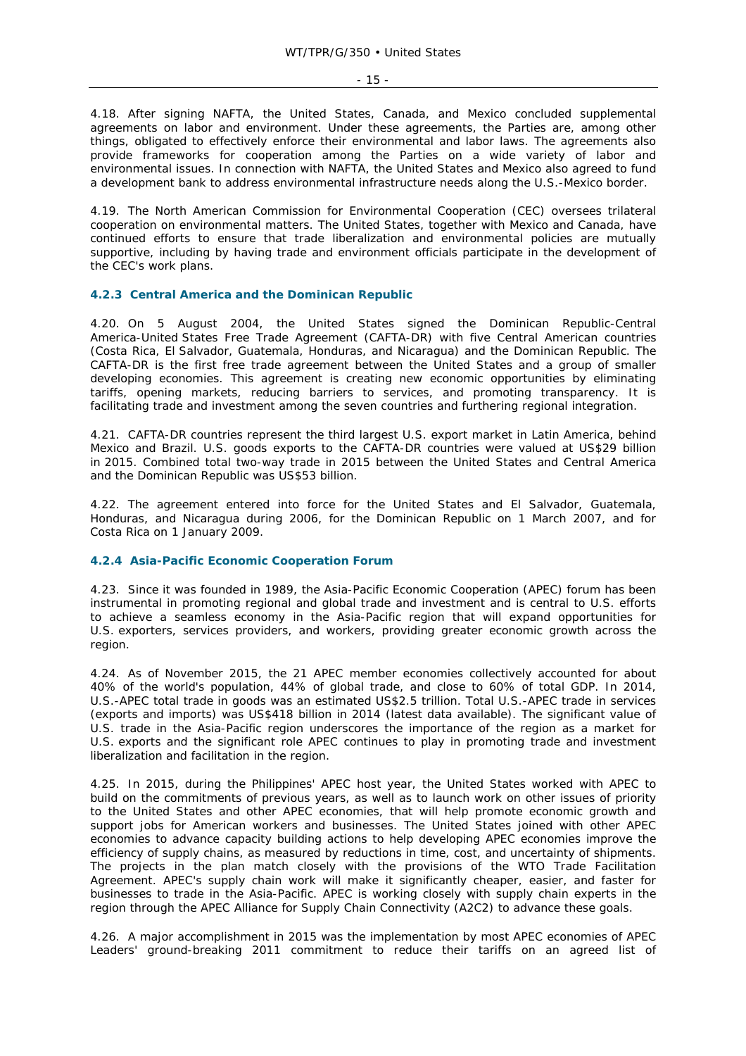4.18. After signing NAFTA, the United States, Canada, and Mexico concluded supplemental agreements on labor and environment. Under these agreements, the Parties are, among other things, obligated to effectively enforce their environmental and labor laws. The agreements also provide frameworks for cooperation among the Parties on a wide variety of labor and environmental issues. In connection with NAFTA, the United States and Mexico also agreed to fund a development bank to address environmental infrastructure needs along the U.S.-Mexico border.

4.19. The North American Commission for Environmental Cooperation (CEC) oversees trilateral cooperation on environmental matters. The United States, together with Mexico and Canada, have continued efforts to ensure that trade liberalization and environmental policies are mutually supportive, including by having trade and environment officials participate in the development of the CEC's work plans.

#### **4.2.3 Central America and the Dominican Republic**

4.20. On 5 August 2004, the United States signed the Dominican Republic-Central America-United States Free Trade Agreement (CAFTA-DR) with five Central American countries (Costa Rica, El Salvador, Guatemala, Honduras, and Nicaragua) and the Dominican Republic. The CAFTA-DR is the first free trade agreement between the United States and a group of smaller developing economies. This agreement is creating new economic opportunities by eliminating tariffs, opening markets, reducing barriers to services, and promoting transparency. It is facilitating trade and investment among the seven countries and furthering regional integration.

4.21. CAFTA-DR countries represent the third largest U.S. export market in Latin America, behind Mexico and Brazil. U.S. goods exports to the CAFTA-DR countries were valued at US\$29 billion in 2015. Combined total two-way trade in 2015 between the United States and Central America and the Dominican Republic was US\$53 billion.

4.22. The agreement entered into force for the United States and El Salvador, Guatemala, Honduras, and Nicaragua during 2006, for the Dominican Republic on 1 March 2007, and for Costa Rica on 1 January 2009.

#### **4.2.4 Asia-Pacific Economic Cooperation Forum**

4.23. Since it was founded in 1989, the Asia-Pacific Economic Cooperation (APEC) forum has been instrumental in promoting regional and global trade and investment and is central to U.S. efforts to achieve a seamless economy in the Asia-Pacific region that will expand opportunities for U.S. exporters, services providers, and workers, providing greater economic growth across the region.

4.24. As of November 2015, the 21 APEC member economies collectively accounted for about 40% of the world's population, 44% of global trade, and close to 60% of total GDP. In 2014, U.S.-APEC total trade in goods was an estimated US\$2.5 trillion. Total U.S.-APEC trade in services (exports and imports) was US\$418 billion in 2014 (latest data available). The significant value of U.S. trade in the Asia-Pacific region underscores the importance of the region as a market for U.S. exports and the significant role APEC continues to play in promoting trade and investment liberalization and facilitation in the region.

4.25. In 2015, during the Philippines' APEC host year, the United States worked with APEC to build on the commitments of previous years, as well as to launch work on other issues of priority to the United States and other APEC economies, that will help promote economic growth and support jobs for American workers and businesses. The United States joined with other APEC economies to advance capacity building actions to help developing APEC economies improve the efficiency of supply chains, as measured by reductions in time, cost, and uncertainty of shipments. The projects in the plan match closely with the provisions of the WTO Trade Facilitation Agreement. APEC's supply chain work will make it significantly cheaper, easier, and faster for businesses to trade in the Asia-Pacific. APEC is working closely with supply chain experts in the region through the APEC Alliance for Supply Chain Connectivity (A2C2) to advance these goals.

4.26. A major accomplishment in 2015 was the implementation by most APEC economies of APEC Leaders' ground-breaking 2011 commitment to reduce their tariffs on an agreed list of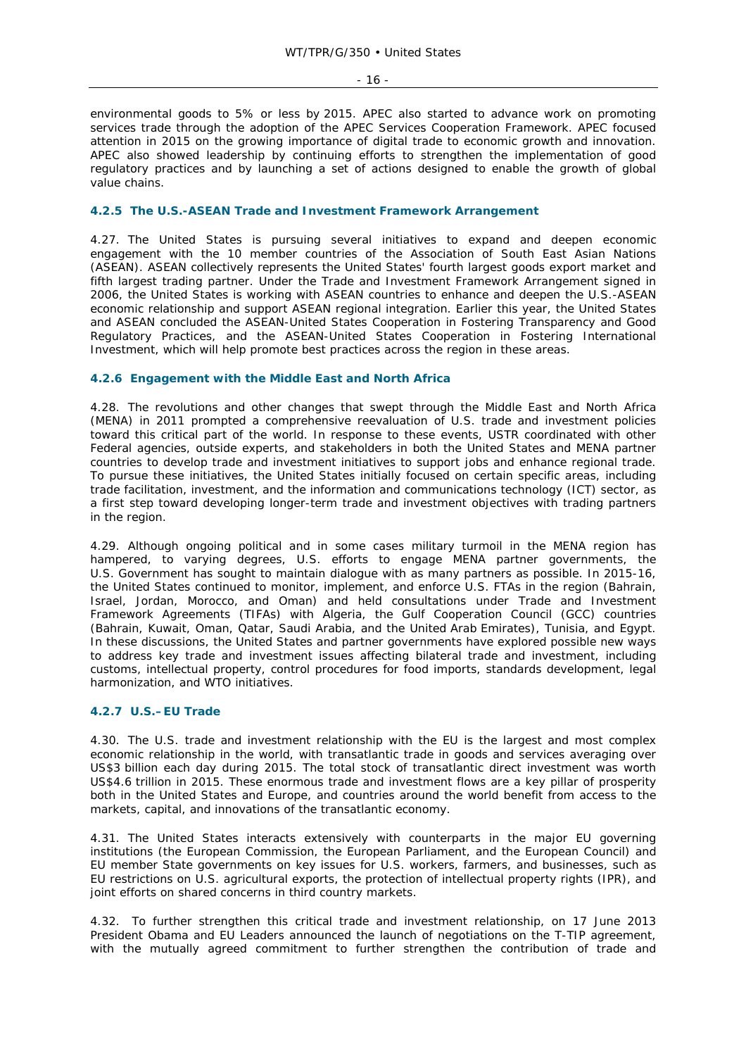- 16 -

environmental goods to 5% or less by 2015. APEC also started to advance work on promoting services trade through the adoption of the APEC Services Cooperation Framework. APEC focused attention in 2015 on the growing importance of digital trade to economic growth and innovation. APEC also showed leadership by continuing efforts to strengthen the implementation of good regulatory practices and by launching a set of actions designed to enable the growth of global value chains.

### **4.2.5 The U.S.-ASEAN Trade and Investment Framework Arrangement**

4.27. The United States is pursuing several initiatives to expand and deepen economic engagement with the 10 member countries of the Association of South East Asian Nations (ASEAN). ASEAN collectively represents the United States' fourth largest goods export market and fifth largest trading partner. Under the Trade and Investment Framework Arrangement signed in 2006, the United States is working with ASEAN countries to enhance and deepen the U.S.-ASEAN economic relationship and support ASEAN regional integration. Earlier this year, the United States and ASEAN concluded the ASEAN-United States Cooperation in Fostering Transparency and Good Regulatory Practices, and the ASEAN-United States Cooperation in Fostering International Investment, which will help promote best practices across the region in these areas.

### **4.2.6 Engagement with the Middle East and North Africa**

4.28. The revolutions and other changes that swept through the Middle East and North Africa (MENA) in 2011 prompted a comprehensive reevaluation of U.S. trade and investment policies toward this critical part of the world. In response to these events, USTR coordinated with other Federal agencies, outside experts, and stakeholders in both the United States and MENA partner countries to develop trade and investment initiatives to support jobs and enhance regional trade. To pursue these initiatives, the United States initially focused on certain specific areas, including trade facilitation, investment, and the information and communications technology (ICT) sector, as a first step toward developing longer-term trade and investment objectives with trading partners in the region.

4.29. Although ongoing political and in some cases military turmoil in the MENA region has hampered, to varying degrees, U.S. efforts to engage MENA partner governments, the U.S. Government has sought to maintain dialogue with as many partners as possible. In 2015-16, the United States continued to monitor, implement, and enforce U.S. FTAs in the region (Bahrain, Israel, Jordan, Morocco, and Oman) and held consultations under Trade and Investment Framework Agreements (TIFAs) with Algeria, the Gulf Cooperation Council (GCC) countries (Bahrain, Kuwait, Oman, Qatar, Saudi Arabia, and the United Arab Emirates), Tunisia, and Egypt. In these discussions, the United States and partner governments have explored possible new ways to address key trade and investment issues affecting bilateral trade and investment, including customs, intellectual property, control procedures for food imports, standards development, legal harmonization, and WTO initiatives.

## **4.2.7 U.S.–EU Trade**

4.30. The U.S. trade and investment relationship with the EU is the largest and most complex economic relationship in the world, with transatlantic trade in goods and services averaging over US\$3 billion each day during 2015. The total stock of transatlantic direct investment was worth US\$4.6 trillion in 2015. These enormous trade and investment flows are a key pillar of prosperity both in the United States and Europe, and countries around the world benefit from access to the markets, capital, and innovations of the transatlantic economy.

4.31. The United States interacts extensively with counterparts in the major EU governing institutions (the European Commission, the European Parliament, and the European Council) and EU member State governments on key issues for U.S. workers, farmers, and businesses, such as EU restrictions on U.S. agricultural exports, the protection of intellectual property rights (IPR), and joint efforts on shared concerns in third country markets.

4.32. To further strengthen this critical trade and investment relationship, on 17 June 2013 President Obama and EU Leaders announced the launch of negotiations on the T-TIP agreement, with the mutually agreed commitment to further strengthen the contribution of trade and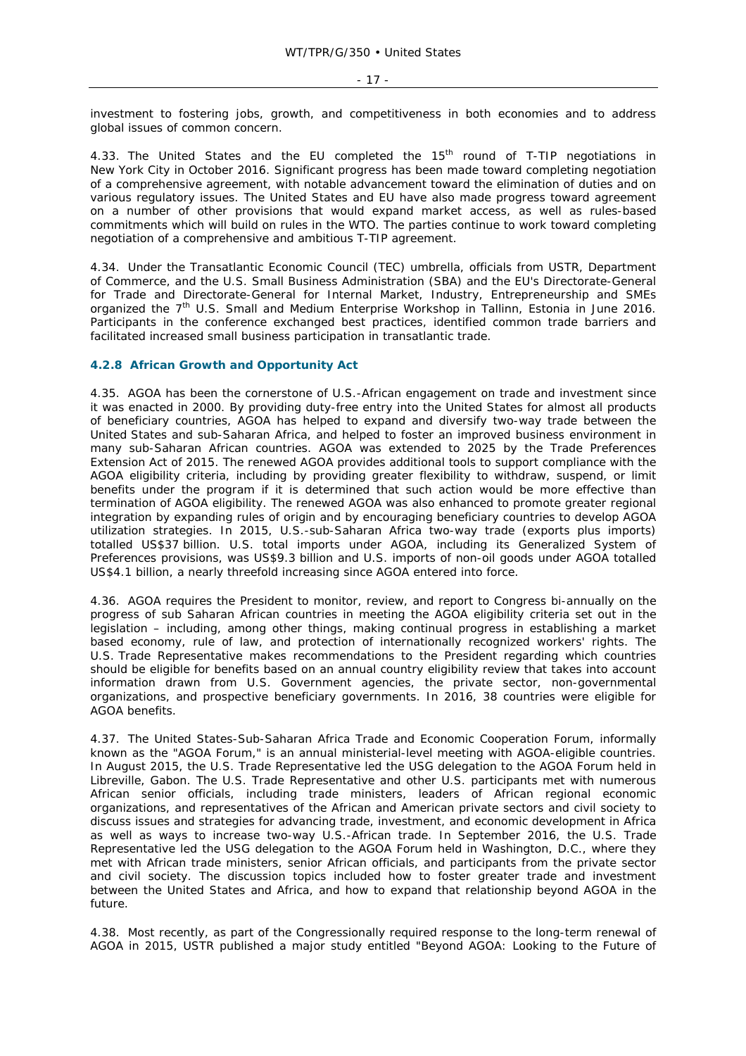investment to fostering jobs, growth, and competitiveness in both economies and to address global issues of common concern.

4.33. The United States and the EU completed the 15<sup>th</sup> round of T-TIP negotiations in New York City in October 2016. Significant progress has been made toward completing negotiation of a comprehensive agreement, with notable advancement toward the elimination of duties and on various regulatory issues. The United States and EU have also made progress toward agreement on a number of other provisions that would expand market access, as well as rules-based commitments which will build on rules in the WTO. The parties continue to work toward completing negotiation of a comprehensive and ambitious T-TIP agreement.

4.34. Under the Transatlantic Economic Council (TEC) umbrella, officials from USTR, Department of Commerce, and the U.S. Small Business Administration (SBA) and the EU's Directorate-General for Trade and Directorate-General for Internal Market, Industry, Entrepreneurship and SMEs organized the 7<sup>th</sup> U.S. Small and Medium Enterprise Workshop in Tallinn, Estonia in June 2016. Participants in the conference exchanged best practices, identified common trade barriers and facilitated increased small business participation in transatlantic trade.

## **4.2.8 African Growth and Opportunity Act**

4.35. AGOA has been the cornerstone of U.S.-African engagement on trade and investment since it was enacted in 2000. By providing duty-free entry into the United States for almost all products of beneficiary countries, AGOA has helped to expand and diversify two-way trade between the United States and sub-Saharan Africa, and helped to foster an improved business environment in many sub-Saharan African countries. AGOA was extended to 2025 by the Trade Preferences Extension Act of 2015. The renewed AGOA provides additional tools to support compliance with the AGOA eligibility criteria, including by providing greater flexibility to withdraw, suspend, or limit benefits under the program if it is determined that such action would be more effective than termination of AGOA eligibility. The renewed AGOA was also enhanced to promote greater regional integration by expanding rules of origin and by encouraging beneficiary countries to develop AGOA utilization strategies. In 2015, U.S.-sub-Saharan Africa two-way trade (exports plus imports) totalled US\$37 billion. U.S. total imports under AGOA, including its Generalized System of Preferences provisions, was US\$9.3 billion and U.S. imports of non-oil goods under AGOA totalled US\$4.1 billion, a nearly threefold increasing since AGOA entered into force.

4.36. AGOA requires the President to monitor, review, and report to Congress bi-annually on the progress of sub Saharan African countries in meeting the AGOA eligibility criteria set out in the legislation – including, among other things, making continual progress in establishing a market based economy, rule of law, and protection of internationally recognized workers' rights. The U.S. Trade Representative makes recommendations to the President regarding which countries should be eligible for benefits based on an annual country eligibility review that takes into account information drawn from U.S. Government agencies, the private sector, non-governmental organizations, and prospective beneficiary governments. In 2016, 38 countries were eligible for AGOA benefits.

4.37. The United States-Sub-Saharan Africa Trade and Economic Cooperation Forum, informally known as the "AGOA Forum," is an annual ministerial-level meeting with AGOA-eligible countries. In August 2015, the U.S. Trade Representative led the USG delegation to the AGOA Forum held in Libreville, Gabon. The U.S. Trade Representative and other U.S. participants met with numerous African senior officials, including trade ministers, leaders of African regional economic organizations, and representatives of the African and American private sectors and civil society to discuss issues and strategies for advancing trade, investment, and economic development in Africa as well as ways to increase two-way U.S.-African trade. In September 2016, the U.S. Trade Representative led the USG delegation to the AGOA Forum held in Washington, D.C., where they met with African trade ministers, senior African officials, and participants from the private sector and civil society. The discussion topics included how to foster greater trade and investment between the United States and Africa, and how to expand that relationship beyond AGOA in the future.

4.38. Most recently, as part of the Congressionally required response to the long-term renewal of AGOA in 2015, USTR published a major study entitled "Beyond AGOA: Looking to the Future of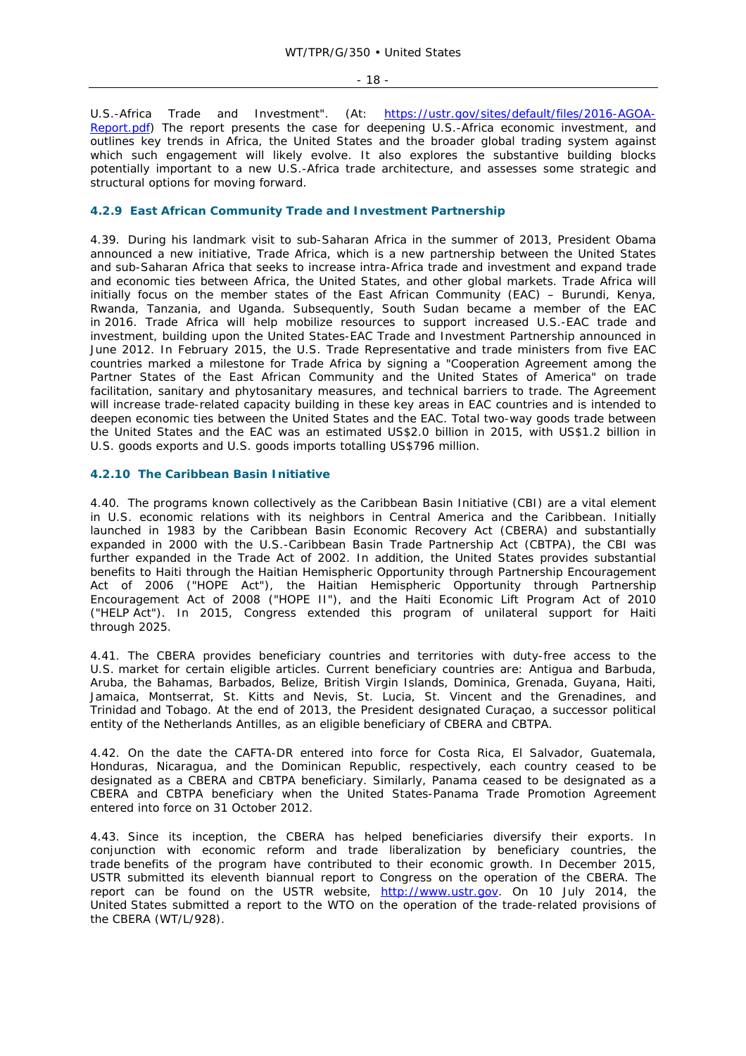- 18 -

U.S.-Africa Trade and Investment". (At: https://ustr.gov/sites/default/files/2016-AGOA-Report.pdf) The report presents the case for deepening U.S.-Africa economic investment, and outlines key trends in Africa, the United States and the broader global trading system against which such engagement will likely evolve. It also explores the substantive building blocks potentially important to a new U.S.-Africa trade architecture, and assesses some strategic and structural options for moving forward.

## **4.2.9 East African Community Trade and Investment Partnership**

4.39. During his landmark visit to sub-Saharan Africa in the summer of 2013, President Obama announced a new initiative, Trade Africa, which is a new partnership between the United States and sub-Saharan Africa that seeks to increase intra-Africa trade and investment and expand trade and economic ties between Africa, the United States, and other global markets. Trade Africa will initially focus on the member states of the East African Community (EAC) – Burundi, Kenya, Rwanda, Tanzania, and Uganda. Subsequently, South Sudan became a member of the EAC in 2016. Trade Africa will help mobilize resources to support increased U.S.-EAC trade and investment, building upon the United States-EAC Trade and Investment Partnership announced in June 2012. In February 2015, the U.S. Trade Representative and trade ministers from five EAC countries marked a milestone for Trade Africa by signing a "Cooperation Agreement among the Partner States of the East African Community and the United States of America" on trade facilitation, sanitary and phytosanitary measures, and technical barriers to trade. The Agreement will increase trade-related capacity building in these key areas in EAC countries and is intended to deepen economic ties between the United States and the EAC. Total two-way goods trade between the United States and the EAC was an estimated US\$2.0 billion in 2015, with US\$1.2 billion in U.S. goods exports and U.S. goods imports totalling US\$796 million.

## **4.2.10 The Caribbean Basin Initiative**

4.40. The programs known collectively as the Caribbean Basin Initiative (CBI) are a vital element in U.S. economic relations with its neighbors in Central America and the Caribbean. Initially launched in 1983 by the Caribbean Basin Economic Recovery Act (CBERA) and substantially expanded in 2000 with the U.S.-Caribbean Basin Trade Partnership Act (CBTPA), the CBI was further expanded in the Trade Act of 2002. In addition, the United States provides substantial benefits to Haiti through the Haitian Hemispheric Opportunity through Partnership Encouragement Act of 2006 ("HOPE Act"), the Haitian Hemispheric Opportunity through Partnership Encouragement Act of 2008 ("HOPE II"), and the Haiti Economic Lift Program Act of 2010 ("HELP Act"). In 2015, Congress extended this program of unilateral support for Haiti through 2025.

4.41. The CBERA provides beneficiary countries and territories with duty-free access to the U.S. market for certain eligible articles. Current beneficiary countries are: Antigua and Barbuda, Aruba, the Bahamas, Barbados, Belize, British Virgin Islands, Dominica, Grenada, Guyana, Haiti, Jamaica, Montserrat, St. Kitts and Nevis, St. Lucia, St. Vincent and the Grenadines, and Trinidad and Tobago. At the end of 2013, the President designated Curaçao, a successor political entity of the Netherlands Antilles, as an eligible beneficiary of CBERA and CBTPA.

4.42. On the date the CAFTA-DR entered into force for Costa Rica, El Salvador, Guatemala, Honduras, Nicaragua, and the Dominican Republic, respectively, each country ceased to be designated as a CBERA and CBTPA beneficiary. Similarly, Panama ceased to be designated as a CBERA and CBTPA beneficiary when the United States-Panama Trade Promotion Agreement entered into force on 31 October 2012.

4.43. Since its inception, the CBERA has helped beneficiaries diversify their exports. In conjunction with economic reform and trade liberalization by beneficiary countries, the trade benefits of the program have contributed to their economic growth. In December 2015, USTR submitted its eleventh biannual report to Congress on the operation of the CBERA. The report can be found on the USTR website, http://www.ustr.gov. On 10 July 2014, the United States submitted a report to the WTO on the operation of the trade-related provisions of the CBERA (WT/L/928).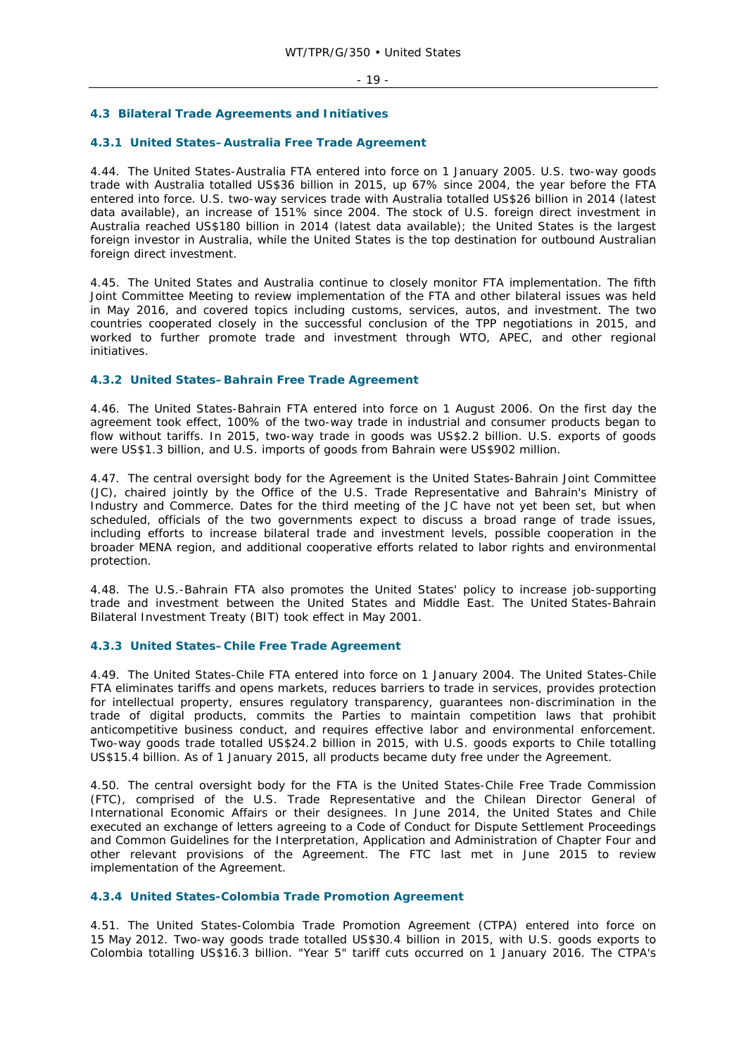## **4.3 Bilateral Trade Agreements and Initiatives**

#### **4.3.1 United States–Australia Free Trade Agreement**

4.44. The United States-Australia FTA entered into force on 1 January 2005. U.S. two-way goods trade with Australia totalled US\$36 billion in 2015, up 67% since 2004, the year before the FTA entered into force. U.S. two-way services trade with Australia totalled US\$26 billion in 2014 (latest data available), an increase of 151% since 2004. The stock of U.S. foreign direct investment in Australia reached US\$180 billion in 2014 (latest data available); the United States is the largest foreign investor in Australia, while the United States is the top destination for outbound Australian foreign direct investment.

4.45. The United States and Australia continue to closely monitor FTA implementation. The fifth Joint Committee Meeting to review implementation of the FTA and other bilateral issues was held in May 2016, and covered topics including customs, services, autos, and investment. The two countries cooperated closely in the successful conclusion of the TPP negotiations in 2015, and worked to further promote trade and investment through WTO, APEC, and other regional initiatives.

#### **4.3.2 United States–Bahrain Free Trade Agreement**

4.46. The United States-Bahrain FTA entered into force on 1 August 2006. On the first day the agreement took effect, 100% of the two-way trade in industrial and consumer products began to flow without tariffs. In 2015, two-way trade in goods was US\$2.2 billion. U.S. exports of goods were US\$1.3 billion, and U.S. imports of goods from Bahrain were US\$902 million.

4.47. The central oversight body for the Agreement is the United States-Bahrain Joint Committee (JC), chaired jointly by the Office of the U.S. Trade Representative and Bahrain's Ministry of Industry and Commerce. Dates for the third meeting of the JC have not yet been set, but when scheduled, officials of the two governments expect to discuss a broad range of trade issues, including efforts to increase bilateral trade and investment levels, possible cooperation in the broader MENA region, and additional cooperative efforts related to labor rights and environmental protection.

4.48. The U.S.-Bahrain FTA also promotes the United States' policy to increase job-supporting trade and investment between the United States and Middle East. The United States-Bahrain Bilateral Investment Treaty (BIT) took effect in May 2001.

#### **4.3.3 United States–Chile Free Trade Agreement**

4.49. The United States-Chile FTA entered into force on 1 January 2004. The United States-Chile FTA eliminates tariffs and opens markets, reduces barriers to trade in services, provides protection for intellectual property, ensures regulatory transparency, guarantees non-discrimination in the trade of digital products, commits the Parties to maintain competition laws that prohibit anticompetitive business conduct, and requires effective labor and environmental enforcement. Two-way goods trade totalled US\$24.2 billion in 2015, with U.S. goods exports to Chile totalling US\$15.4 billion. As of 1 January 2015, all products became duty free under the Agreement.

4.50. The central oversight body for the FTA is the United States-Chile Free Trade Commission (FTC), comprised of the U.S. Trade Representative and the Chilean Director General of International Economic Affairs or their designees. In June 2014, the United States and Chile executed an exchange of letters agreeing to a Code of Conduct for Dispute Settlement Proceedings and Common Guidelines for the Interpretation, Application and Administration of Chapter Four and other relevant provisions of the Agreement. The FTC last met in June 2015 to review implementation of the Agreement.

#### **4.3.4 United States-Colombia Trade Promotion Agreement**

4.51. The United States-Colombia Trade Promotion Agreement (CTPA) entered into force on 15 May 2012. Two-way goods trade totalled US\$30.4 billion in 2015, with U.S. goods exports to Colombia totalling US\$16.3 billion. "Year 5" tariff cuts occurred on 1 January 2016. The CTPA's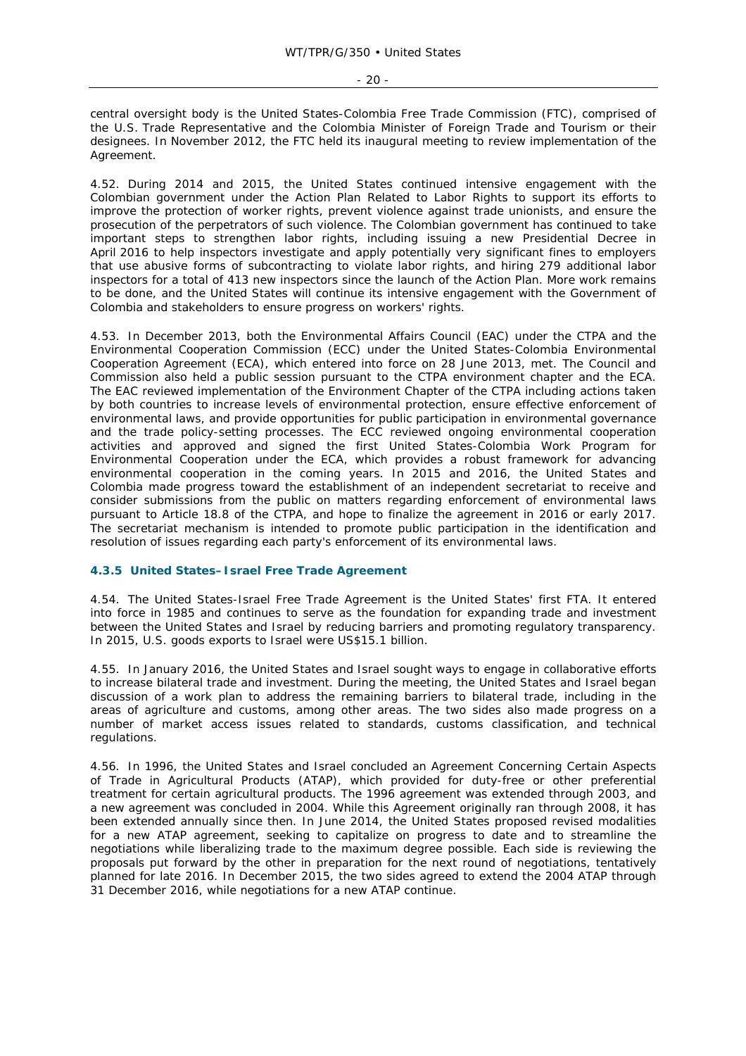central oversight body is the United States-Colombia Free Trade Commission (FTC), comprised of the U.S. Trade Representative and the Colombia Minister of Foreign Trade and Tourism or their designees. In November 2012, the FTC held its inaugural meeting to review implementation of the Agreement.

4.52. During 2014 and 2015, the United States continued intensive engagement with the Colombian government under the Action Plan Related to Labor Rights to support its efforts to improve the protection of worker rights, prevent violence against trade unionists, and ensure the prosecution of the perpetrators of such violence. The Colombian government has continued to take important steps to strengthen labor rights, including issuing a new Presidential Decree in April 2016 to help inspectors investigate and apply potentially very significant fines to employers that use abusive forms of subcontracting to violate labor rights, and hiring 279 additional labor inspectors for a total of 413 new inspectors since the launch of the Action Plan. More work remains to be done, and the United States will continue its intensive engagement with the Government of Colombia and stakeholders to ensure progress on workers' rights.

4.53. In December 2013, both the Environmental Affairs Council (EAC) under the CTPA and the Environmental Cooperation Commission (ECC) under the United States-Colombia Environmental Cooperation Agreement (ECA), which entered into force on 28 June 2013, met. The Council and Commission also held a public session pursuant to the CTPA environment chapter and the ECA. The EAC reviewed implementation of the Environment Chapter of the CTPA including actions taken by both countries to increase levels of environmental protection, ensure effective enforcement of environmental laws, and provide opportunities for public participation in environmental governance and the trade policy-setting processes. The ECC reviewed ongoing environmental cooperation activities and approved and signed the first United States-Colombia Work Program for Environmental Cooperation under the ECA, which provides a robust framework for advancing environmental cooperation in the coming years. In 2015 and 2016, the United States and Colombia made progress toward the establishment of an independent secretariat to receive and consider submissions from the public on matters regarding enforcement of environmental laws pursuant to Article 18.8 of the CTPA, and hope to finalize the agreement in 2016 or early 2017. The secretariat mechanism is intended to promote public participation in the identification and resolution of issues regarding each party's enforcement of its environmental laws.

## **4.3.5 United States–Israel Free Trade Agreement**

4.54. The United States-Israel Free Trade Agreement is the United States' first FTA. It entered into force in 1985 and continues to serve as the foundation for expanding trade and investment between the United States and Israel by reducing barriers and promoting regulatory transparency. In 2015, U.S. goods exports to Israel were US\$15.1 billion.

4.55. In January 2016, the United States and Israel sought ways to engage in collaborative efforts to increase bilateral trade and investment. During the meeting, the United States and Israel began discussion of a work plan to address the remaining barriers to bilateral trade, including in the areas of agriculture and customs, among other areas. The two sides also made progress on a number of market access issues related to standards, customs classification, and technical regulations.

4.56. In 1996, the United States and Israel concluded an Agreement Concerning Certain Aspects of Trade in Agricultural Products (ATAP), which provided for duty-free or other preferential treatment for certain agricultural products. The 1996 agreement was extended through 2003, and a new agreement was concluded in 2004. While this Agreement originally ran through 2008, it has been extended annually since then. In June 2014, the United States proposed revised modalities for a new ATAP agreement, seeking to capitalize on progress to date and to streamline the negotiations while liberalizing trade to the maximum degree possible. Each side is reviewing the proposals put forward by the other in preparation for the next round of negotiations, tentatively planned for late 2016. In December 2015, the two sides agreed to extend the 2004 ATAP through 31 December 2016, while negotiations for a new ATAP continue.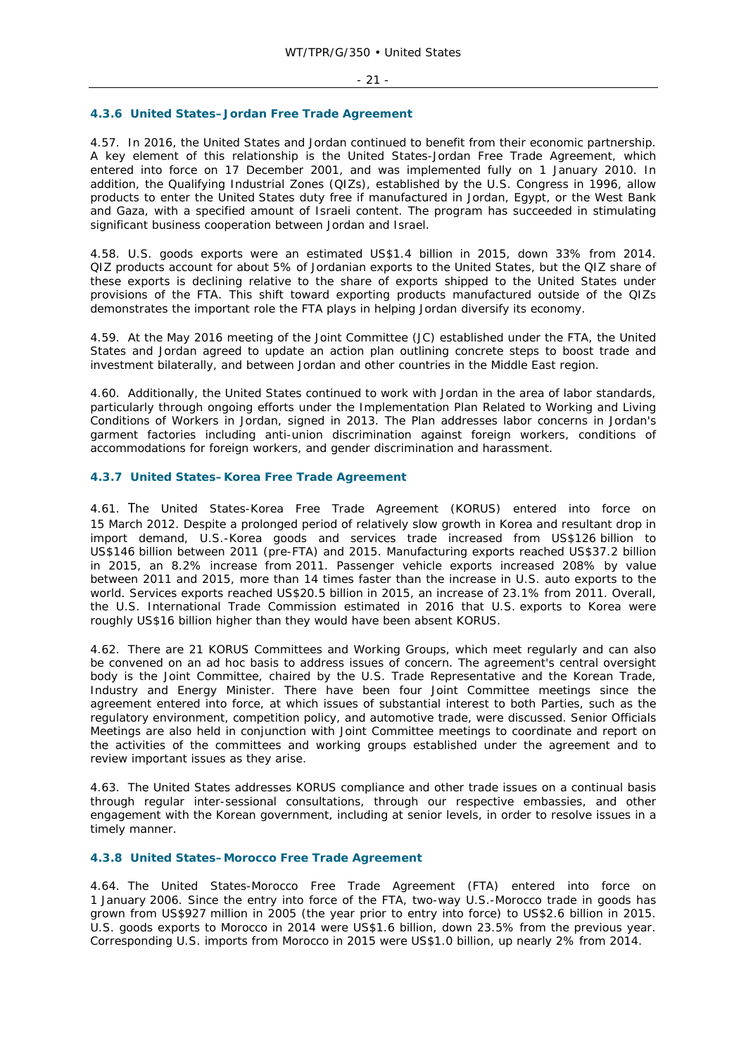#### **4.3.6 United States–Jordan Free Trade Agreement**

4.57. In 2016, the United States and Jordan continued to benefit from their economic partnership. A key element of this relationship is the United States-Jordan Free Trade Agreement, which entered into force on 17 December 2001, and was implemented fully on 1 January 2010. In addition, the Qualifying Industrial Zones (QIZs), established by the U.S. Congress in 1996, allow products to enter the United States duty free if manufactured in Jordan, Egypt, or the West Bank and Gaza, with a specified amount of Israeli content. The program has succeeded in stimulating significant business cooperation between Jordan and Israel.

4.58. U.S. goods exports were an estimated US\$1.4 billion in 2015, down 33% from 2014. QIZ products account for about 5% of Jordanian exports to the United States, but the QIZ share of these exports is declining relative to the share of exports shipped to the United States under provisions of the FTA. This shift toward exporting products manufactured outside of the QIZs demonstrates the important role the FTA plays in helping Jordan diversify its economy.

4.59. At the May 2016 meeting of the Joint Committee (JC) established under the FTA, the United States and Jordan agreed to update an action plan outlining concrete steps to boost trade and investment bilaterally, and between Jordan and other countries in the Middle East region.

4.60. Additionally, the United States continued to work with Jordan in the area of labor standards, particularly through ongoing efforts under the Implementation Plan Related to Working and Living Conditions of Workers in Jordan, signed in 2013. The Plan addresses labor concerns in Jordan's garment factories including anti-union discrimination against foreign workers, conditions of accommodations for foreign workers, and gender discrimination and harassment.

#### **4.3.7 United States–Korea Free Trade Agreement**

4.61. The United States-Korea Free Trade Agreement (KORUS) entered into force on 15 March 2012. Despite a prolonged period of relatively slow growth in Korea and resultant drop in import demand, U.S.-Korea goods and services trade increased from US\$126 billion to US\$146 billion between 2011 (pre-FTA) and 2015. Manufacturing exports reached US\$37.2 billion in 2015, an 8.2% increase from 2011. Passenger vehicle exports increased 208% by value between 2011 and 2015, more than 14 times faster than the increase in U.S. auto exports to the world. Services exports reached US\$20.5 billion in 2015, an increase of 23.1% from 2011. Overall, the U.S. International Trade Commission estimated in 2016 that U.S. exports to Korea were roughly US\$16 billion higher than they would have been absent KORUS.

4.62. There are 21 KORUS Committees and Working Groups, which meet regularly and can also be convened on an ad hoc basis to address issues of concern. The agreement's central oversight body is the Joint Committee, chaired by the U.S. Trade Representative and the Korean Trade, Industry and Energy Minister. There have been four Joint Committee meetings since the agreement entered into force, at which issues of substantial interest to both Parties, such as the regulatory environment, competition policy, and automotive trade, were discussed. Senior Officials Meetings are also held in conjunction with Joint Committee meetings to coordinate and report on the activities of the committees and working groups established under the agreement and to review important issues as they arise.

4.63. The United States addresses KORUS compliance and other trade issues on a continual basis through regular inter-sessional consultations, through our respective embassies, and other engagement with the Korean government, including at senior levels, in order to resolve issues in a timely manner.

#### **4.3.8 United States–Morocco Free Trade Agreement**

4.64. The United States-Morocco Free Trade Agreement (FTA) entered into force on 1 January 2006. Since the entry into force of the FTA, two-way U.S.-Morocco trade in goods has grown from US\$927 million in 2005 (the year prior to entry into force) to US\$2.6 billion in 2015. U.S. goods exports to Morocco in 2014 were US\$1.6 billion, down 23.5% from the previous year. Corresponding U.S. imports from Morocco in 2015 were US\$1.0 billion, up nearly 2% from 2014.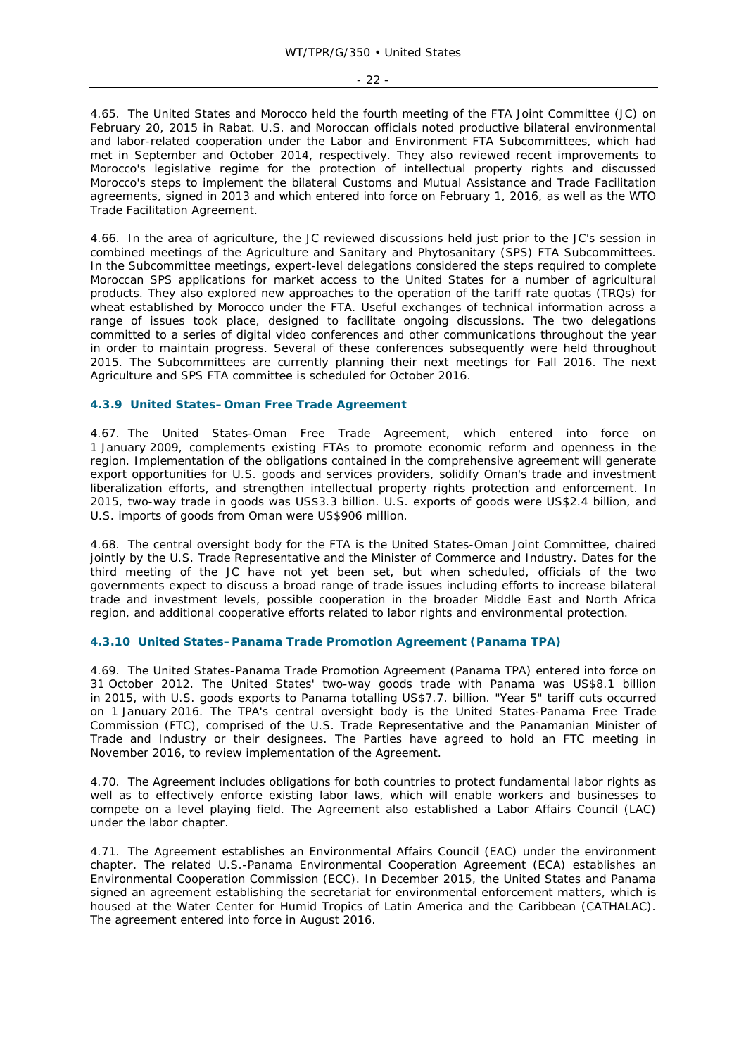- 22 -

4.65. The United States and Morocco held the fourth meeting of the FTA Joint Committee (JC) on February 20, 2015 in Rabat. U.S. and Moroccan officials noted productive bilateral environmental and labor-related cooperation under the Labor and Environment FTA Subcommittees, which had met in September and October 2014, respectively. They also reviewed recent improvements to Morocco's legislative regime for the protection of intellectual property rights and discussed Morocco's steps to implement the bilateral Customs and Mutual Assistance and Trade Facilitation agreements, signed in 2013 and which entered into force on February 1, 2016, as well as the WTO Trade Facilitation Agreement.

4.66. In the area of agriculture, the JC reviewed discussions held just prior to the JC's session in combined meetings of the Agriculture and Sanitary and Phytosanitary (SPS) FTA Subcommittees. In the Subcommittee meetings, expert-level delegations considered the steps required to complete Moroccan SPS applications for market access to the United States for a number of agricultural products. They also explored new approaches to the operation of the tariff rate quotas (TRQs) for wheat established by Morocco under the FTA. Useful exchanges of technical information across a range of issues took place, designed to facilitate ongoing discussions. The two delegations committed to a series of digital video conferences and other communications throughout the year in order to maintain progress. Several of these conferences subsequently were held throughout 2015. The Subcommittees are currently planning their next meetings for Fall 2016. The next Agriculture and SPS FTA committee is scheduled for October 2016.

## **4.3.9 United States–Oman Free Trade Agreement**

4.67. The United States-Oman Free Trade Agreement, which entered into force on 1 January 2009, complements existing FTAs to promote economic reform and openness in the region. Implementation of the obligations contained in the comprehensive agreement will generate export opportunities for U.S. goods and services providers, solidify Oman's trade and investment liberalization efforts, and strengthen intellectual property rights protection and enforcement. In 2015, two-way trade in goods was US\$3.3 billion. U.S. exports of goods were US\$2.4 billion, and U.S. imports of goods from Oman were US\$906 million.

4.68. The central oversight body for the FTA is the United States-Oman Joint Committee, chaired jointly by the U.S. Trade Representative and the Minister of Commerce and Industry. Dates for the third meeting of the JC have not yet been set, but when scheduled, officials of the two governments expect to discuss a broad range of trade issues including efforts to increase bilateral trade and investment levels, possible cooperation in the broader Middle East and North Africa region, and additional cooperative efforts related to labor rights and environmental protection.

## **4.3.10 United States–Panama Trade Promotion Agreement (Panama TPA)**

4.69. The United States-Panama Trade Promotion Agreement (Panama TPA) entered into force on 31 October 2012. The United States' two-way goods trade with Panama was US\$8.1 billion in 2015, with U.S. goods exports to Panama totalling US\$7.7. billion. "Year 5" tariff cuts occurred on 1 January 2016. The TPA's central oversight body is the United States-Panama Free Trade Commission (FTC), comprised of the U.S. Trade Representative and the Panamanian Minister of Trade and Industry or their designees. The Parties have agreed to hold an FTC meeting in November 2016, to review implementation of the Agreement.

4.70. The Agreement includes obligations for both countries to protect fundamental labor rights as well as to effectively enforce existing labor laws, which will enable workers and businesses to compete on a level playing field. The Agreement also established a Labor Affairs Council (LAC) under the labor chapter.

4.71. The Agreement establishes an Environmental Affairs Council (EAC) under the environment chapter. The related U.S.-Panama Environmental Cooperation Agreement (ECA) establishes an Environmental Cooperation Commission (ECC). In December 2015, the United States and Panama signed an agreement establishing the secretariat for environmental enforcement matters, which is housed at the Water Center for Humid Tropics of Latin America and the Caribbean (CATHALAC). The agreement entered into force in August 2016.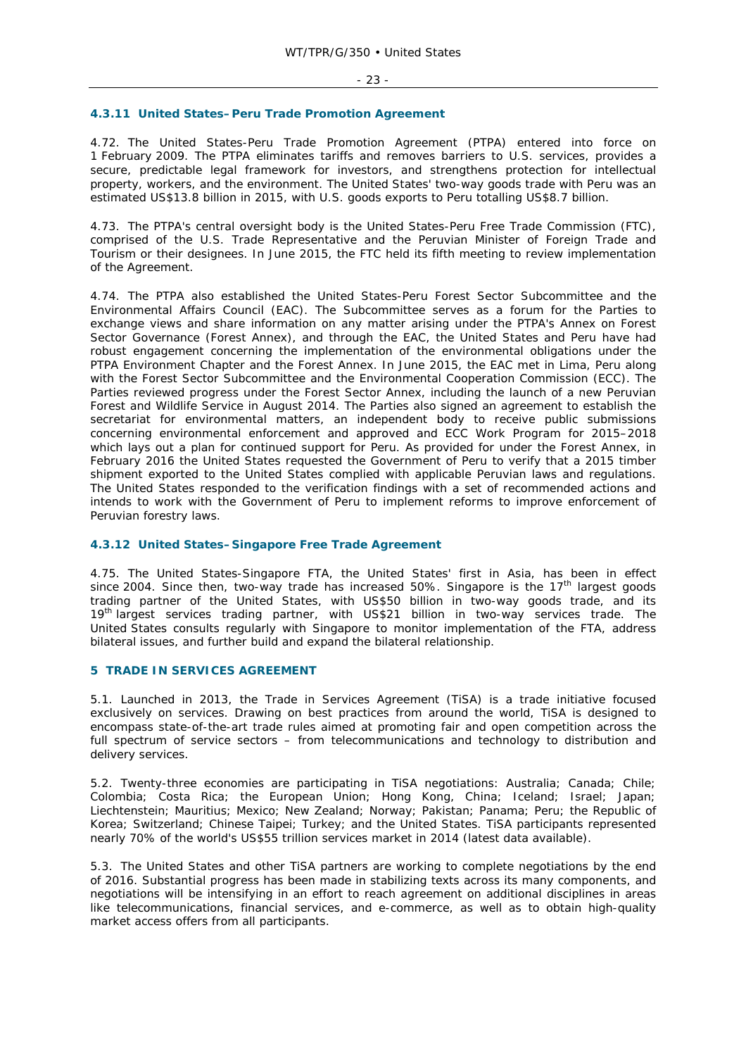#### **4.3.11 United States–Peru Trade Promotion Agreement**

4.72. The United States-Peru Trade Promotion Agreement (PTPA) entered into force on 1 February 2009. The PTPA eliminates tariffs and removes barriers to U.S. services, provides a secure, predictable legal framework for investors, and strengthens protection for intellectual property, workers, and the environment. The United States' two-way goods trade with Peru was an estimated US\$13.8 billion in 2015, with U.S. goods exports to Peru totalling US\$8.7 billion.

4.73. The PTPA's central oversight body is the United States-Peru Free Trade Commission (FTC), comprised of the U.S. Trade Representative and the Peruvian Minister of Foreign Trade and Tourism or their designees. In June 2015, the FTC held its fifth meeting to review implementation of the Agreement.

4.74. The PTPA also established the United States-Peru Forest Sector Subcommittee and the Environmental Affairs Council (EAC). The Subcommittee serves as a forum for the Parties to exchange views and share information on any matter arising under the PTPA's Annex on Forest Sector Governance (Forest Annex), and through the EAC, the United States and Peru have had robust engagement concerning the implementation of the environmental obligations under the PTPA Environment Chapter and the Forest Annex. In June 2015, the EAC met in Lima, Peru along with the Forest Sector Subcommittee and the Environmental Cooperation Commission (ECC). The Parties reviewed progress under the Forest Sector Annex, including the launch of a new Peruvian Forest and Wildlife Service in August 2014. The Parties also signed an agreement to establish the secretariat for environmental matters, an independent body to receive public submissions concerning environmental enforcement and approved and ECC Work Program for 2015–2018 which lays out a plan for continued support for Peru. As provided for under the Forest Annex, in February 2016 the United States requested the Government of Peru to verify that a 2015 timber shipment exported to the United States complied with applicable Peruvian laws and regulations. The United States responded to the verification findings with a set of recommended actions and intends to work with the Government of Peru to implement reforms to improve enforcement of Peruvian forestry laws.

## **4.3.12 United States–Singapore Free Trade Agreement**

4.75. The United States-Singapore FTA, the United States' first in Asia, has been in effect since 2004. Since then, two-way trade has increased 50%. Singapore is the  $17<sup>th</sup>$  largest goods trading partner of the United States, with US\$50 billion in two-way goods trade, and its 19<sup>th</sup> largest services trading partner, with US\$21 billion in two-way services trade. The United States consults regularly with Singapore to monitor implementation of the FTA, address bilateral issues, and further build and expand the bilateral relationship.

#### **5 TRADE IN SERVICES AGREEMENT**

5.1. Launched in 2013, the Trade in Services Agreement (TiSA) is a trade initiative focused exclusively on services. Drawing on best practices from around the world, TiSA is designed to encompass state-of-the-art trade rules aimed at promoting fair and open competition across the full spectrum of service sectors – from telecommunications and technology to distribution and delivery services.

5.2. Twenty-three economies are participating in TiSA negotiations: Australia; Canada; Chile; Colombia; Costa Rica; the European Union; Hong Kong, China; Iceland; Israel; Japan; Liechtenstein; Mauritius; Mexico; New Zealand; Norway; Pakistan; Panama; Peru; the Republic of Korea; Switzerland; Chinese Taipei; Turkey; and the United States. TiSA participants represented nearly 70% of the world's US\$55 trillion services market in 2014 (latest data available).

5.3. The United States and other TiSA partners are working to complete negotiations by the end of 2016. Substantial progress has been made in stabilizing texts across its many components, and negotiations will be intensifying in an effort to reach agreement on additional disciplines in areas like telecommunications, financial services, and e-commerce, as well as to obtain high-quality market access offers from all participants.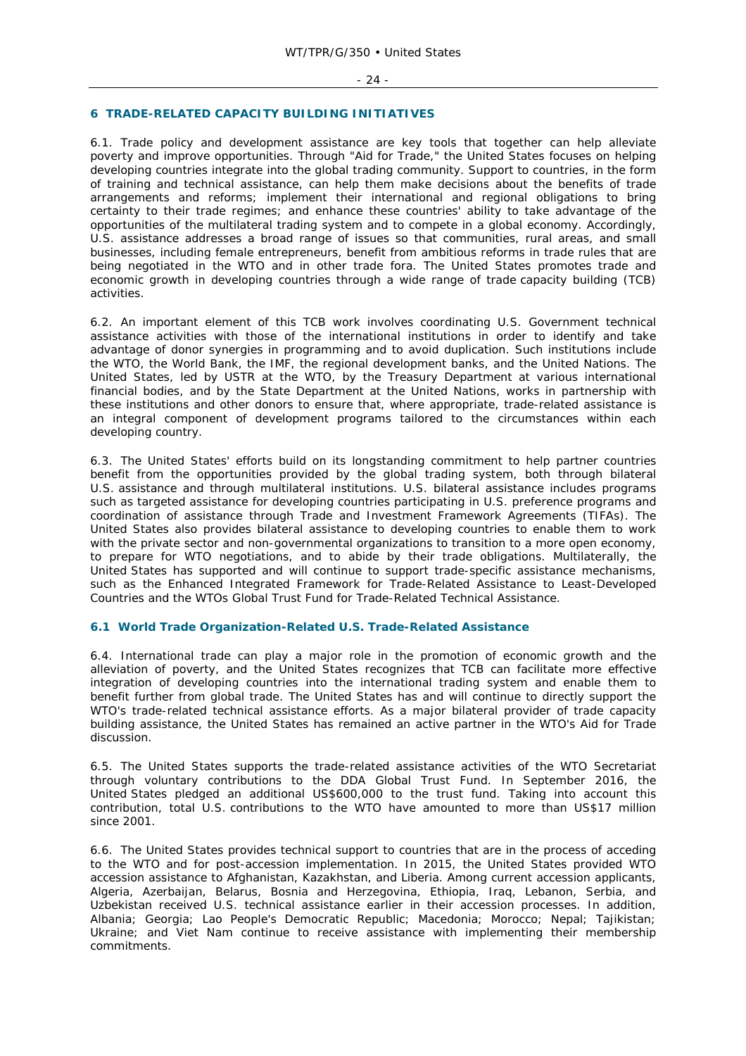## **6 TRADE-RELATED CAPACITY BUILDING INITIATIVES**

6.1. Trade policy and development assistance are key tools that together can help alleviate poverty and improve opportunities. Through "Aid for Trade," the United States focuses on helping developing countries integrate into the global trading community. Support to countries, in the form of training and technical assistance, can help them make decisions about the benefits of trade arrangements and reforms; implement their international and regional obligations to bring certainty to their trade regimes; and enhance these countries' ability to take advantage of the opportunities of the multilateral trading system and to compete in a global economy. Accordingly, U.S. assistance addresses a broad range of issues so that communities, rural areas, and small businesses, including female entrepreneurs, benefit from ambitious reforms in trade rules that are being negotiated in the WTO and in other trade fora. The United States promotes trade and economic growth in developing countries through a wide range of trade capacity building (TCB) activities.

6.2. An important element of this TCB work involves coordinating U.S. Government technical assistance activities with those of the international institutions in order to identify and take advantage of donor synergies in programming and to avoid duplication. Such institutions include the WTO, the World Bank, the IMF, the regional development banks, and the United Nations. The United States, led by USTR at the WTO, by the Treasury Department at various international financial bodies, and by the State Department at the United Nations, works in partnership with these institutions and other donors to ensure that, where appropriate, trade-related assistance is an integral component of development programs tailored to the circumstances within each developing country.

6.3. The United States' efforts build on its longstanding commitment to help partner countries benefit from the opportunities provided by the global trading system, both through bilateral U.S. assistance and through multilateral institutions. U.S. bilateral assistance includes programs such as targeted assistance for developing countries participating in U.S. preference programs and coordination of assistance through Trade and Investment Framework Agreements (TIFAs). The United States also provides bilateral assistance to developing countries to enable them to work with the private sector and non-governmental organizations to transition to a more open economy, to prepare for WTO negotiations, and to abide by their trade obligations. Multilaterally, the United States has supported and will continue to support trade-specific assistance mechanisms, such as the Enhanced Integrated Framework for Trade-Related Assistance to Least-Developed Countries and the WTOs Global Trust Fund for Trade-Related Technical Assistance.

## **6.1 World Trade Organization-Related U.S. Trade-Related Assistance**

6.4. International trade can play a major role in the promotion of economic growth and the alleviation of poverty, and the United States recognizes that TCB can facilitate more effective integration of developing countries into the international trading system and enable them to benefit further from global trade. The United States has and will continue to directly support the WTO's trade-related technical assistance efforts. As a major bilateral provider of trade capacity building assistance, the United States has remained an active partner in the WTO's Aid for Trade discussion.

6.5. The United States supports the trade-related assistance activities of the WTO Secretariat through voluntary contributions to the DDA Global Trust Fund. In September 2016, the United States pledged an additional US\$600,000 to the trust fund. Taking into account this contribution, total U.S. contributions to the WTO have amounted to more than US\$17 million since 2001.

6.6. The United States provides technical support to countries that are in the process of acceding to the WTO and for post-accession implementation. In 2015, the United States provided WTO accession assistance to Afghanistan, Kazakhstan, and Liberia. Among current accession applicants, Algeria, Azerbaijan, Belarus, Bosnia and Herzegovina, Ethiopia, Iraq, Lebanon, Serbia, and Uzbekistan received U.S. technical assistance earlier in their accession processes. In addition, Albania; Georgia; Lao People's Democratic Republic; Macedonia; Morocco; Nepal; Tajikistan; Ukraine; and Viet Nam continue to receive assistance with implementing their membership commitments.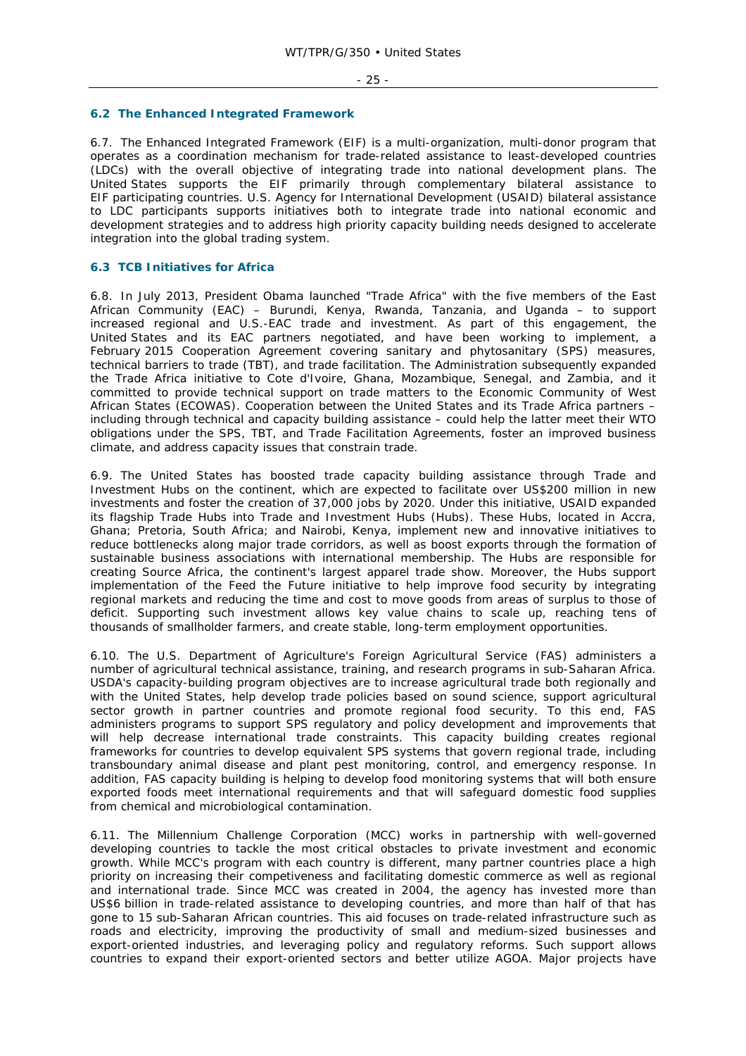#### **6.2 The Enhanced Integrated Framework**

6.7. The Enhanced Integrated Framework (EIF) is a multi-organization, multi-donor program that operates as a coordination mechanism for trade-related assistance to least-developed countries (LDCs) with the overall objective of integrating trade into national development plans. The United States supports the EIF primarily through complementary bilateral assistance to EIF participating countries. U.S. Agency for International Development (USAID) bilateral assistance to LDC participants supports initiatives both to integrate trade into national economic and development strategies and to address high priority capacity building needs designed to accelerate integration into the global trading system.

## **6.3 TCB Initiatives for Africa**

6.8. In July 2013, President Obama launched "Trade Africa" with the five members of the East African Community (EAC) – Burundi, Kenya, Rwanda, Tanzania, and Uganda – to support increased regional and U.S.-EAC trade and investment. As part of this engagement, the United States and its EAC partners negotiated, and have been working to implement, a February 2015 Cooperation Agreement covering sanitary and phytosanitary (SPS) measures, technical barriers to trade (TBT), and trade facilitation. The Administration subsequently expanded the Trade Africa initiative to Cote d'Ivoire, Ghana, Mozambique, Senegal, and Zambia, and it committed to provide technical support on trade matters to the Economic Community of West African States (ECOWAS). Cooperation between the United States and its Trade Africa partners – including through technical and capacity building assistance – could help the latter meet their WTO obligations under the SPS, TBT, and Trade Facilitation Agreements, foster an improved business climate, and address capacity issues that constrain trade.

6.9. The United States has boosted trade capacity building assistance through Trade and Investment Hubs on the continent, which are expected to facilitate over US\$200 million in new investments and foster the creation of 37,000 jobs by 2020. Under this initiative, USAID expanded its flagship Trade Hubs into Trade and Investment Hubs (Hubs). These Hubs, located in Accra, Ghana; Pretoria, South Africa; and Nairobi, Kenya, implement new and innovative initiatives to reduce bottlenecks along major trade corridors, as well as boost exports through the formation of sustainable business associations with international membership. The Hubs are responsible for creating Source Africa, the continent's largest apparel trade show. Moreover, the Hubs support implementation of the Feed the Future initiative to help improve food security by integrating regional markets and reducing the time and cost to move goods from areas of surplus to those of deficit. Supporting such investment allows key value chains to scale up, reaching tens of thousands of smallholder farmers, and create stable, long-term employment opportunities.

6.10. The U.S. Department of Agriculture's Foreign Agricultural Service (FAS) administers a number of agricultural technical assistance, training, and research programs in sub-Saharan Africa. USDA's capacity-building program objectives are to increase agricultural trade both regionally and with the United States, help develop trade policies based on sound science, support agricultural sector growth in partner countries and promote regional food security. To this end, FAS administers programs to support SPS regulatory and policy development and improvements that will help decrease international trade constraints. This capacity building creates regional frameworks for countries to develop equivalent SPS systems that govern regional trade, including transboundary animal disease and plant pest monitoring, control, and emergency response. In addition, FAS capacity building is helping to develop food monitoring systems that will both ensure exported foods meet international requirements and that will safeguard domestic food supplies from chemical and microbiological contamination.

6.11. The Millennium Challenge Corporation (MCC) works in partnership with well-governed developing countries to tackle the most critical obstacles to private investment and economic growth. While MCC's program with each country is different, many partner countries place a high priority on increasing their competiveness and facilitating domestic commerce as well as regional and international trade. Since MCC was created in 2004, the agency has invested more than US\$6 billion in trade-related assistance to developing countries, and more than half of that has gone to 15 sub-Saharan African countries. This aid focuses on trade-related infrastructure such as roads and electricity, improving the productivity of small and medium-sized businesses and export-oriented industries, and leveraging policy and regulatory reforms. Such support allows countries to expand their export-oriented sectors and better utilize AGOA. Major projects have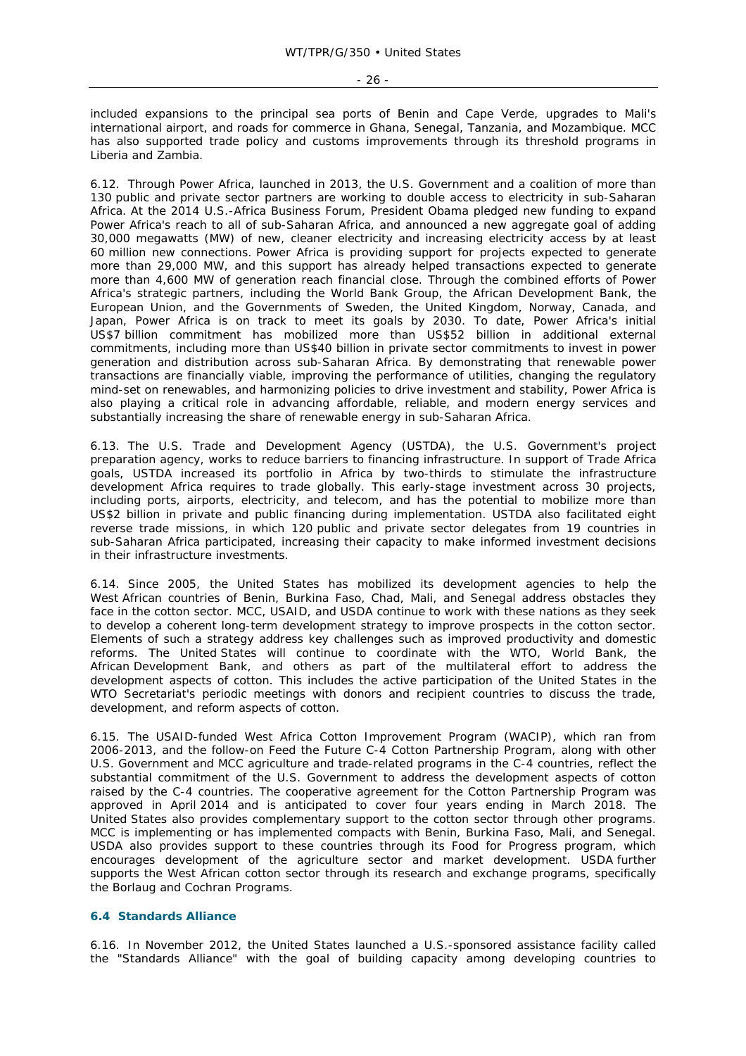included expansions to the principal sea ports of Benin and Cape Verde, upgrades to Mali's international airport, and roads for commerce in Ghana, Senegal, Tanzania, and Mozambique. MCC has also supported trade policy and customs improvements through its threshold programs in Liberia and Zambia.

6.12. Through Power Africa, launched in 2013, the U.S. Government and a coalition of more than 130 public and private sector partners are working to double access to electricity in sub-Saharan Africa. At the 2014 U.S.-Africa Business Forum, President Obama pledged new funding to expand Power Africa's reach to all of sub-Saharan Africa, and announced a new aggregate goal of adding 30,000 megawatts (MW) of new, cleaner electricity and increasing electricity access by at least 60 million new connections. Power Africa is providing support for projects expected to generate more than 29,000 MW, and this support has already helped transactions expected to generate more than 4,600 MW of generation reach financial close. Through the combined efforts of Power Africa's strategic partners, including the World Bank Group, the African Development Bank, the European Union, and the Governments of Sweden, the United Kingdom, Norway, Canada, and Japan, Power Africa is on track to meet its goals by 2030. To date, Power Africa's initial US\$7 billion commitment has mobilized more than US\$52 billion in additional external commitments, including more than US\$40 billion in private sector commitments to invest in power generation and distribution across sub-Saharan Africa. By demonstrating that renewable power transactions are financially viable, improving the performance of utilities, changing the regulatory mind-set on renewables, and harmonizing policies to drive investment and stability, Power Africa is also playing a critical role in advancing affordable, reliable, and modern energy services and substantially increasing the share of renewable energy in sub-Saharan Africa.

6.13. The U.S. Trade and Development Agency (USTDA), the U.S. Government's project preparation agency, works to reduce barriers to financing infrastructure. In support of Trade Africa goals, USTDA increased its portfolio in Africa by two-thirds to stimulate the infrastructure development Africa requires to trade globally. This early-stage investment across 30 projects, including ports, airports, electricity, and telecom, and has the potential to mobilize more than US\$2 billion in private and public financing during implementation. USTDA also facilitated eight reverse trade missions, in which 120 public and private sector delegates from 19 countries in sub-Saharan Africa participated, increasing their capacity to make informed investment decisions in their infrastructure investments.

6.14. Since 2005, the United States has mobilized its development agencies to help the West African countries of Benin, Burkina Faso, Chad, Mali, and Senegal address obstacles they face in the cotton sector. MCC, USAID, and USDA continue to work with these nations as they seek to develop a coherent long-term development strategy to improve prospects in the cotton sector. Elements of such a strategy address key challenges such as improved productivity and domestic reforms. The United States will continue to coordinate with the WTO, World Bank, the African Development Bank, and others as part of the multilateral effort to address the development aspects of cotton. This includes the active participation of the United States in the WTO Secretariat's periodic meetings with donors and recipient countries to discuss the trade, development, and reform aspects of cotton.

6.15. The USAID-funded West Africa Cotton Improvement Program (WACIP), which ran from 2006-2013, and the follow-on Feed the Future C-4 Cotton Partnership Program, along with other U.S. Government and MCC agriculture and trade-related programs in the C-4 countries, reflect the substantial commitment of the U.S. Government to address the development aspects of cotton raised by the C-4 countries. The cooperative agreement for the Cotton Partnership Program was approved in April 2014 and is anticipated to cover four years ending in March 2018. The United States also provides complementary support to the cotton sector through other programs. MCC is implementing or has implemented compacts with Benin, Burkina Faso, Mali, and Senegal. USDA also provides support to these countries through its Food for Progress program, which encourages development of the agriculture sector and market development. USDA further supports the West African cotton sector through its research and exchange programs, specifically the Borlaug and Cochran Programs.

## **6.4 Standards Alliance**

6.16. In November 2012, the United States launched a U.S.-sponsored assistance facility called the "Standards Alliance" with the goal of building capacity among developing countries to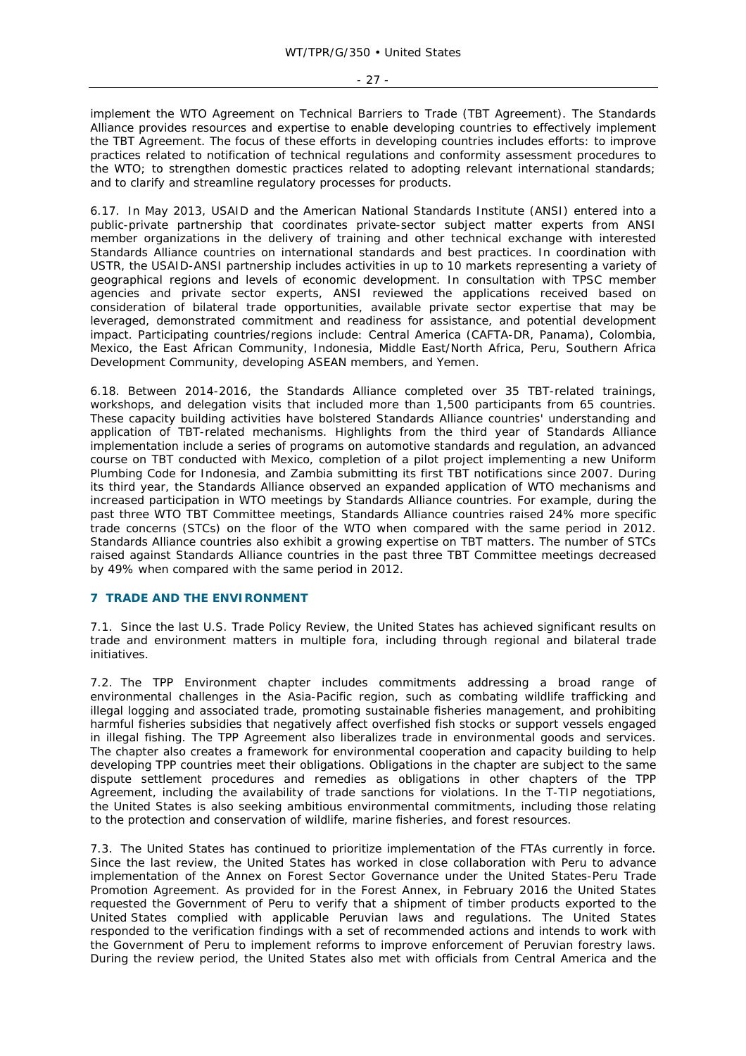implement the WTO Agreement on Technical Barriers to Trade (TBT Agreement). The Standards Alliance provides resources and expertise to enable developing countries to effectively implement the TBT Agreement. The focus of these efforts in developing countries includes efforts: to improve practices related to notification of technical regulations and conformity assessment procedures to the WTO; to strengthen domestic practices related to adopting relevant international standards; and to clarify and streamline regulatory processes for products.

6.17. In May 2013, USAID and the American National Standards Institute (ANSI) entered into a public-private partnership that coordinates private-sector subject matter experts from ANSI member organizations in the delivery of training and other technical exchange with interested Standards Alliance countries on international standards and best practices. In coordination with USTR, the USAID-ANSI partnership includes activities in up to 10 markets representing a variety of geographical regions and levels of economic development. In consultation with TPSC member agencies and private sector experts, ANSI reviewed the applications received based on consideration of bilateral trade opportunities, available private sector expertise that may be leveraged, demonstrated commitment and readiness for assistance, and potential development impact. Participating countries/regions include: Central America (CAFTA-DR, Panama), Colombia, Mexico, the East African Community, Indonesia, Middle East/North Africa, Peru, Southern Africa Development Community, developing ASEAN members, and Yemen.

6.18. Between 2014-2016, the Standards Alliance completed over 35 TBT-related trainings, workshops, and delegation visits that included more than 1,500 participants from 65 countries. These capacity building activities have bolstered Standards Alliance countries' understanding and application of TBT-related mechanisms. Highlights from the third year of Standards Alliance implementation include a series of programs on automotive standards and regulation, an advanced course on TBT conducted with Mexico, completion of a pilot project implementing a new Uniform Plumbing Code for Indonesia, and Zambia submitting its first TBT notifications since 2007. During its third year, the Standards Alliance observed an expanded application of WTO mechanisms and increased participation in WTO meetings by Standards Alliance countries. For example, during the past three WTO TBT Committee meetings, Standards Alliance countries raised 24% more specific trade concerns (STCs) on the floor of the WTO when compared with the same period in 2012. Standards Alliance countries also exhibit a growing expertise on TBT matters. The number of STCs raised against Standards Alliance countries in the past three TBT Committee meetings decreased by 49% when compared with the same period in 2012.

## **7 TRADE AND THE ENVIRONMENT**

7.1. Since the last U.S. Trade Policy Review, the United States has achieved significant results on trade and environment matters in multiple fora, including through regional and bilateral trade initiatives.

7.2. The TPP Environment chapter includes commitments addressing a broad range of environmental challenges in the Asia-Pacific region, such as combating wildlife trafficking and illegal logging and associated trade, promoting sustainable fisheries management, and prohibiting harmful fisheries subsidies that negatively affect overfished fish stocks or support vessels engaged in illegal fishing. The TPP Agreement also liberalizes trade in environmental goods and services. The chapter also creates a framework for environmental cooperation and capacity building to help developing TPP countries meet their obligations. Obligations in the chapter are subject to the same dispute settlement procedures and remedies as obligations in other chapters of the TPP Agreement, including the availability of trade sanctions for violations. In the T-TIP negotiations, the United States is also seeking ambitious environmental commitments, including those relating to the protection and conservation of wildlife, marine fisheries, and forest resources.

7.3. The United States has continued to prioritize implementation of the FTAs currently in force. Since the last review, the United States has worked in close collaboration with Peru to advance implementation of the Annex on Forest Sector Governance under the United States-Peru Trade Promotion Agreement. As provided for in the Forest Annex, in February 2016 the United States requested the Government of Peru to verify that a shipment of timber products exported to the United States complied with applicable Peruvian laws and regulations. The United States responded to the verification findings with a set of recommended actions and intends to work with the Government of Peru to implement reforms to improve enforcement of Peruvian forestry laws. During the review period, the United States also met with officials from Central America and the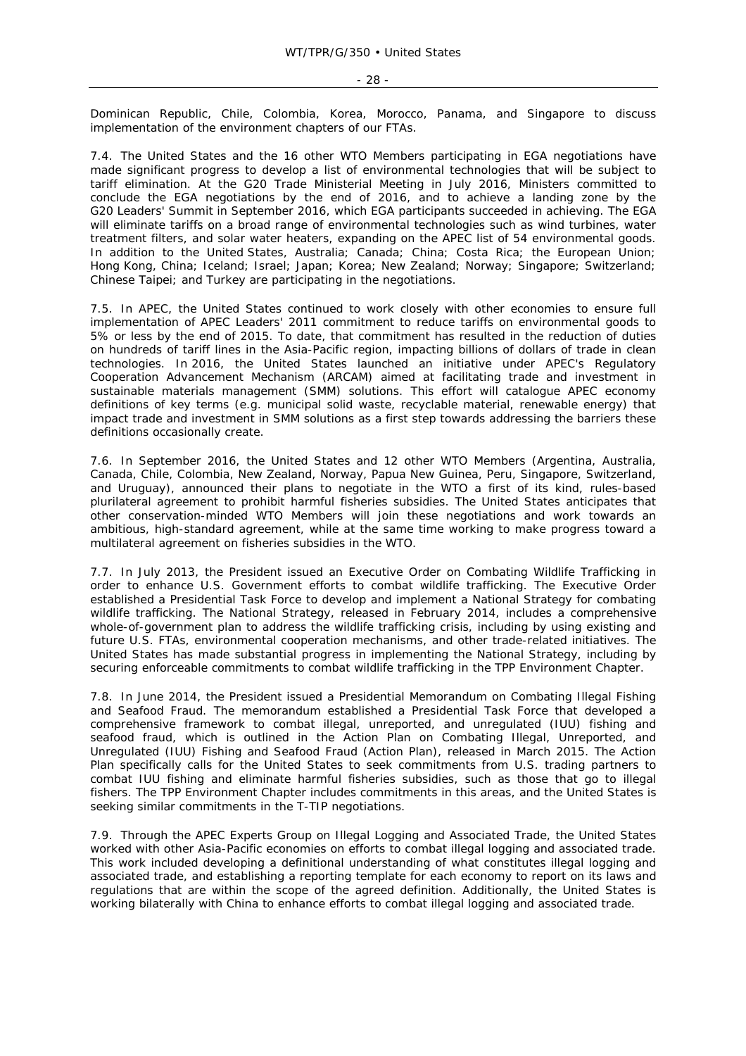Dominican Republic, Chile, Colombia, Korea, Morocco, Panama, and Singapore to discuss implementation of the environment chapters of our FTAs.

7.4. The United States and the 16 other WTO Members participating in EGA negotiations have made significant progress to develop a list of environmental technologies that will be subject to tariff elimination. At the G20 Trade Ministerial Meeting in July 2016, Ministers committed to conclude the EGA negotiations by the end of 2016, and to achieve a landing zone by the G20 Leaders' Summit in September 2016, which EGA participants succeeded in achieving. The EGA will eliminate tariffs on a broad range of environmental technologies such as wind turbines, water treatment filters, and solar water heaters, expanding on the APEC list of 54 environmental goods. In addition to the United States, Australia; Canada; China; Costa Rica; the European Union; Hong Kong, China; Iceland; Israel; Japan; Korea; New Zealand; Norway; Singapore; Switzerland; Chinese Taipei; and Turkey are participating in the negotiations.

7.5. In APEC, the United States continued to work closely with other economies to ensure full implementation of APEC Leaders' 2011 commitment to reduce tariffs on environmental goods to 5% or less by the end of 2015. To date, that commitment has resulted in the reduction of duties on hundreds of tariff lines in the Asia-Pacific region, impacting billions of dollars of trade in clean technologies. In 2016, the United States launched an initiative under APEC's Regulatory Cooperation Advancement Mechanism (ARCAM) aimed at facilitating trade and investment in sustainable materials management (SMM) solutions. This effort will catalogue APEC economy definitions of key terms (e.g. municipal solid waste, recyclable material, renewable energy) that impact trade and investment in SMM solutions as a first step towards addressing the barriers these definitions occasionally create.

7.6. In September 2016, the United States and 12 other WTO Members (Argentina, Australia, Canada, Chile, Colombia, New Zealand, Norway, Papua New Guinea, Peru, Singapore, Switzerland, and Uruguay), announced their plans to negotiate in the WTO a first of its kind, rules-based plurilateral agreement to prohibit harmful fisheries subsidies. The United States anticipates that other conservation-minded WTO Members will join these negotiations and work towards an ambitious, high-standard agreement, while at the same time working to make progress toward a multilateral agreement on fisheries subsidies in the WTO.

7.7. In July 2013, the President issued an Executive Order on Combating Wildlife Trafficking in order to enhance U.S. Government efforts to combat wildlife trafficking. The Executive Order established a Presidential Task Force to develop and implement a National Strategy for combating wildlife trafficking. The National Strategy, released in February 2014, includes a comprehensive whole-of-government plan to address the wildlife trafficking crisis, including by using existing and future U.S. FTAs, environmental cooperation mechanisms, and other trade-related initiatives. The United States has made substantial progress in implementing the National Strategy, including by securing enforceable commitments to combat wildlife trafficking in the TPP Environment Chapter.

7.8. In June 2014, the President issued a Presidential Memorandum on Combating Illegal Fishing and Seafood Fraud. The memorandum established a Presidential Task Force that developed a comprehensive framework to combat illegal, unreported, and unregulated (IUU) fishing and seafood fraud, which is outlined in the Action Plan on Combating Illegal, Unreported, and Unregulated (IUU) Fishing and Seafood Fraud (Action Plan), released in March 2015. The Action Plan specifically calls for the United States to seek commitments from U.S. trading partners to combat IUU fishing and eliminate harmful fisheries subsidies, such as those that go to illegal fishers. The TPP Environment Chapter includes commitments in this areas, and the United States is seeking similar commitments in the T-TIP negotiations.

7.9. Through the APEC Experts Group on Illegal Logging and Associated Trade, the United States worked with other Asia-Pacific economies on efforts to combat illegal logging and associated trade. This work included developing a definitional understanding of what constitutes illegal logging and associated trade, and establishing a reporting template for each economy to report on its laws and regulations that are within the scope of the agreed definition. Additionally, the United States is working bilaterally with China to enhance efforts to combat illegal logging and associated trade.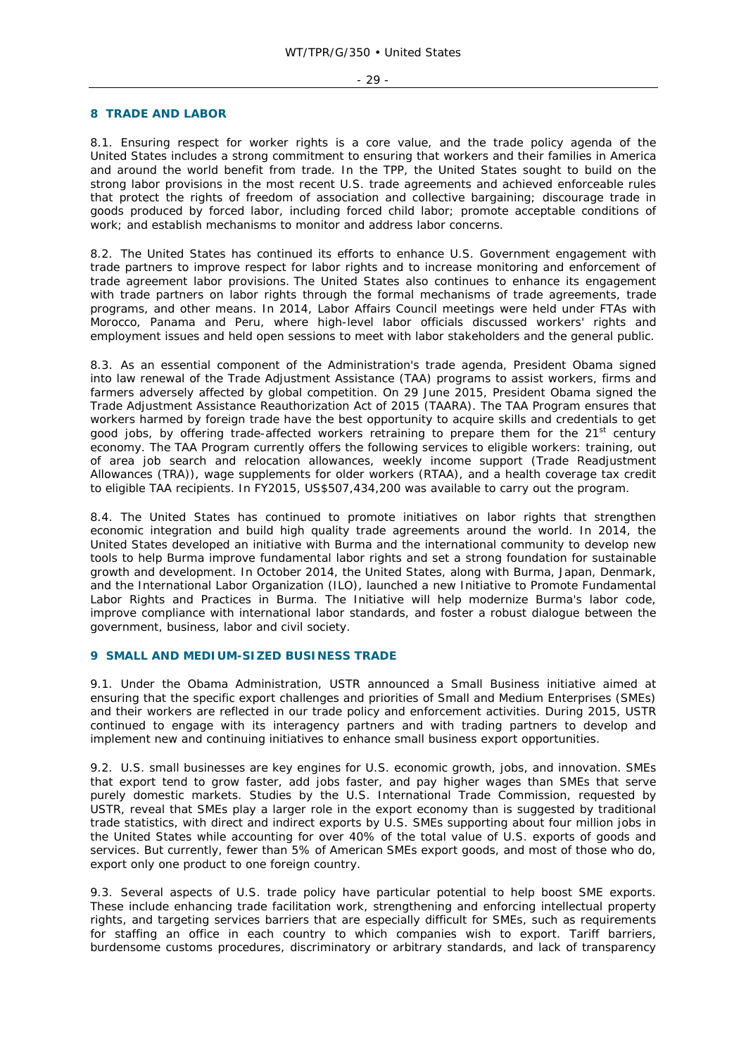#### - 29 -

#### **8 TRADE AND LABOR**

8.1. Ensuring respect for worker rights is a core value, and the trade policy agenda of the United States includes a strong commitment to ensuring that workers and their families in America and around the world benefit from trade. In the TPP, the United States sought to build on the strong labor provisions in the most recent U.S. trade agreements and achieved enforceable rules that protect the rights of freedom of association and collective bargaining; discourage trade in goods produced by forced labor, including forced child labor; promote acceptable conditions of work; and establish mechanisms to monitor and address labor concerns.

8.2. The United States has continued its efforts to enhance U.S. Government engagement with trade partners to improve respect for labor rights and to increase monitoring and enforcement of trade agreement labor provisions. The United States also continues to enhance its engagement with trade partners on labor rights through the formal mechanisms of trade agreements, trade programs, and other means. In 2014, Labor Affairs Council meetings were held under FTAs with Morocco, Panama and Peru, where high-level labor officials discussed workers' rights and employment issues and held open sessions to meet with labor stakeholders and the general public.

8.3. As an essential component of the Administration's trade agenda, President Obama signed into law renewal of the Trade Adjustment Assistance (TAA) programs to assist workers, firms and farmers adversely affected by global competition. On 29 June 2015, President Obama signed the Trade Adjustment Assistance Reauthorization Act of 2015 (TAARA). The TAA Program ensures that workers harmed by foreign trade have the best opportunity to acquire skills and credentials to get good jobs, by offering trade-affected workers retraining to prepare them for the  $21<sup>st</sup>$  century economy. The TAA Program currently offers the following services to eligible workers: training, out of area job search and relocation allowances, weekly income support (Trade Readjustment Allowances (TRA)), wage supplements for older workers (RTAA), and a health coverage tax credit to eligible TAA recipients. In FY2015, US\$507,434,200 was available to carry out the program.

8.4. The United States has continued to promote initiatives on labor rights that strengthen economic integration and build high quality trade agreements around the world. In 2014, the United States developed an initiative with Burma and the international community to develop new tools to help Burma improve fundamental labor rights and set a strong foundation for sustainable growth and development. In October 2014, the United States, along with Burma, Japan, Denmark, and the International Labor Organization (ILO), launched a new Initiative to Promote Fundamental Labor Rights and Practices in Burma. The Initiative will help modernize Burma's labor code, improve compliance with international labor standards, and foster a robust dialogue between the government, business, labor and civil society.

#### **9 SMALL AND MEDIUM-SIZED BUSINESS TRADE**

9.1. Under the Obama Administration, USTR announced a Small Business initiative aimed at ensuring that the specific export challenges and priorities of Small and Medium Enterprises (SMEs) and their workers are reflected in our trade policy and enforcement activities. During 2015, USTR continued to engage with its interagency partners and with trading partners to develop and implement new and continuing initiatives to enhance small business export opportunities.

9.2. U.S. small businesses are key engines for U.S. economic growth, jobs, and innovation. SMEs that export tend to grow faster, add jobs faster, and pay higher wages than SMEs that serve purely domestic markets. Studies by the U.S. International Trade Commission, requested by USTR, reveal that SMEs play a larger role in the export economy than is suggested by traditional trade statistics, with direct and indirect exports by U.S. SMEs supporting about four million jobs in the United States while accounting for over 40% of the total value of U.S. exports of goods and services. But currently, fewer than 5% of American SMEs export goods, and most of those who do, export only one product to one foreign country.

9.3. Several aspects of U.S. trade policy have particular potential to help boost SME exports. These include enhancing trade facilitation work, strengthening and enforcing intellectual property rights, and targeting services barriers that are especially difficult for SMEs, such as requirements for staffing an office in each country to which companies wish to export. Tariff barriers, burdensome customs procedures, discriminatory or arbitrary standards, and lack of transparency